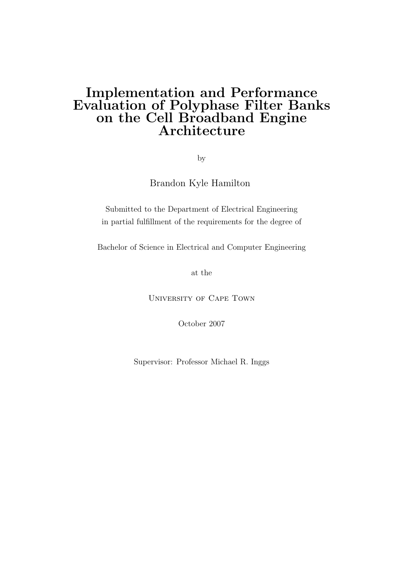## Implementation and Performance Evaluation of Polyphase Filter Banks on the Cell Broadband Engine Architecture

by

Brandon Kyle Hamilton

Submitted to the Department of Electrical Engineering in partial fulfillment of the requirements for the degree of

Bachelor of Science in Electrical and Computer Engineering

at the

University of Cape Town

October 2007

Supervisor: Professor Michael R. Inggs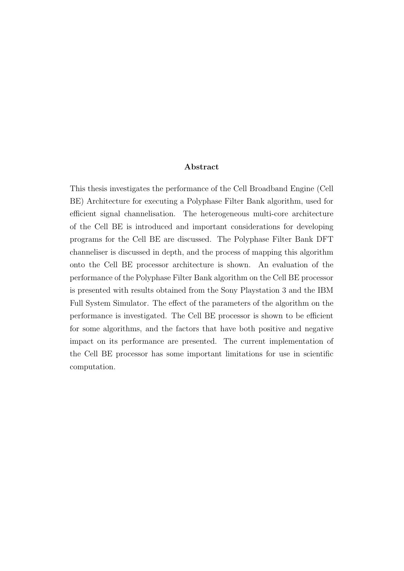#### Abstract

This thesis investigates the performance of the Cell Broadband Engine (Cell BE) Architecture for executing a Polyphase Filter Bank algorithm, used for efficient signal channelisation. The heterogeneous multi-core architecture of the Cell BE is introduced and important considerations for developing programs for the Cell BE are discussed. The Polyphase Filter Bank DFT channeliser is discussed in depth, and the process of mapping this algorithm onto the Cell BE processor architecture is shown. An evaluation of the performance of the Polyphase Filter Bank algorithm on the Cell BE processor is presented with results obtained from the Sony Playstation 3 and the IBM Full System Simulator. The effect of the parameters of the algorithm on the performance is investigated. The Cell BE processor is shown to be efficient for some algorithms, and the factors that have both positive and negative impact on its performance are presented. The current implementation of the Cell BE processor has some important limitations for use in scientific computation.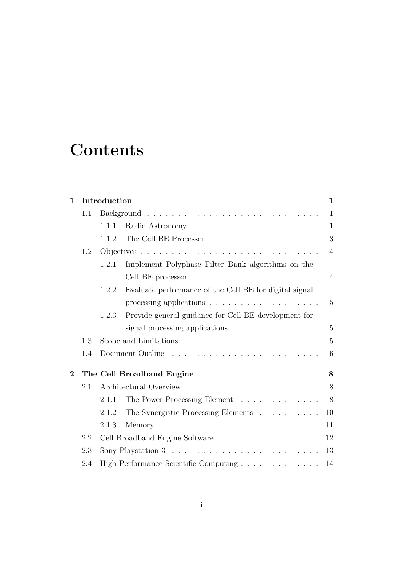# **Contents**

| 1            |     | Introduction                                                             | $\mathbf{1}$   |
|--------------|-----|--------------------------------------------------------------------------|----------------|
|              | 1.1 |                                                                          | $\mathbf{1}$   |
|              |     | 1.1.1                                                                    | $\mathbf{1}$   |
|              |     | 1.1.2                                                                    | 3              |
|              | 1.2 |                                                                          | $\overline{4}$ |
|              |     | Implement Polyphase Filter Bank algorithms on the<br>1.2.1               |                |
|              |     |                                                                          | 4              |
|              |     | Evaluate performance of the Cell BE for digital signal<br>1.2.2          |                |
|              |     | processing applications $\ldots \ldots \ldots \ldots \ldots \ldots$      | 5              |
|              |     | Provide general guidance for Cell BE development for<br>1.2.3            |                |
|              |     | signal processing applications                                           | $\overline{5}$ |
|              | 1.3 | Scope and Limitations $\ldots \ldots \ldots \ldots \ldots \ldots \ldots$ | $\overline{5}$ |
|              | 1.4 |                                                                          | 6              |
| $\mathbf{2}$ |     | The Cell Broadband Engine                                                | 8              |
|              | 2.1 |                                                                          | 8              |
|              |     | The Power Processing Element<br>2.1.1                                    | 8              |
|              |     | The Synergistic Processing Elements<br>2.1.2                             | 10             |
|              |     | 2.1.3                                                                    | 11             |
|              | 2.2 |                                                                          | 12             |
|              | 2.3 |                                                                          | 13             |
|              | 2.4 |                                                                          | 14             |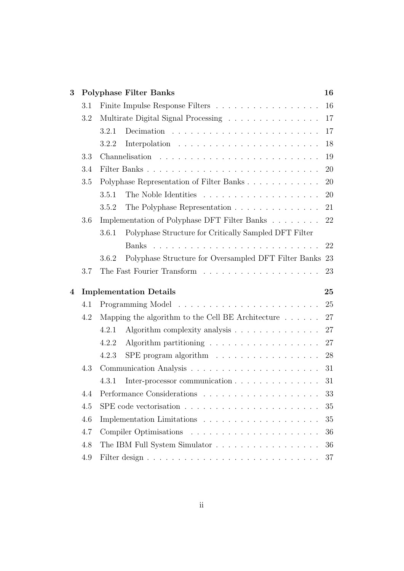| 3                |                                                                            |                                          | <b>Polyphase Filter Banks</b>                                      | 16        |
|------------------|----------------------------------------------------------------------------|------------------------------------------|--------------------------------------------------------------------|-----------|
|                  | 3.1                                                                        |                                          |                                                                    | 16        |
|                  | Multirate Digital Signal Processing $\dots \dots \dots \dots \dots$<br>3.2 |                                          |                                                                    | 17        |
|                  |                                                                            | 3.2.1                                    |                                                                    | 17        |
|                  |                                                                            | 3.2.2                                    | Interpolation $\ldots \ldots \ldots \ldots \ldots \ldots \ldots$   | 18        |
|                  | 3.3                                                                        |                                          |                                                                    | 19        |
|                  | 3.4                                                                        |                                          |                                                                    | <b>20</b> |
|                  | 3.5                                                                        | Polyphase Representation of Filter Banks |                                                                    | <b>20</b> |
|                  |                                                                            | 3.5.1                                    |                                                                    | <b>20</b> |
|                  |                                                                            | 3.5.2                                    | The Polyphase Representation                                       | 21        |
|                  | 3.6                                                                        |                                          | Implementation of Polyphase DFT Filter Banks 22                    |           |
|                  |                                                                            | 3.6.1                                    | Polyphase Structure for Critically Sampled DFT Filter              |           |
|                  |                                                                            |                                          |                                                                    | 22        |
|                  |                                                                            | 3.6.2                                    | Polyphase Structure for Oversampled DFT Filter Banks 23            |           |
|                  | 3.7                                                                        |                                          |                                                                    | 23        |
| $\boldsymbol{4}$ |                                                                            |                                          | <b>Implementation Details</b>                                      | 25        |
|                  | 4.1                                                                        |                                          |                                                                    | 25        |
|                  | 4.2                                                                        |                                          | Mapping the algorithm to the Cell BE Architecture $\dots \dots$    | 27        |
|                  |                                                                            | 4.2.1                                    | Algorithm complexity analysis                                      | 27        |
|                  |                                                                            | 4.2.2                                    | Algorithm partitioning $\ldots \ldots \ldots \ldots \ldots \ldots$ | 27        |
|                  |                                                                            | 4.2.3                                    | SPE program algorithm $\ldots \ldots \ldots \ldots \ldots$         | 28        |
|                  | 4.3                                                                        |                                          |                                                                    | 31        |
|                  |                                                                            |                                          |                                                                    |           |
|                  |                                                                            | 4.3.1                                    | Inter-processor communication                                      | 31        |
|                  | 4.4                                                                        |                                          |                                                                    | 33        |
|                  | 4.5                                                                        |                                          |                                                                    | 35        |
|                  | 4.6                                                                        |                                          |                                                                    | 35        |
|                  | 4.7                                                                        |                                          |                                                                    | 36        |
|                  | 4.8                                                                        |                                          | The IBM Full System Simulator                                      | 36        |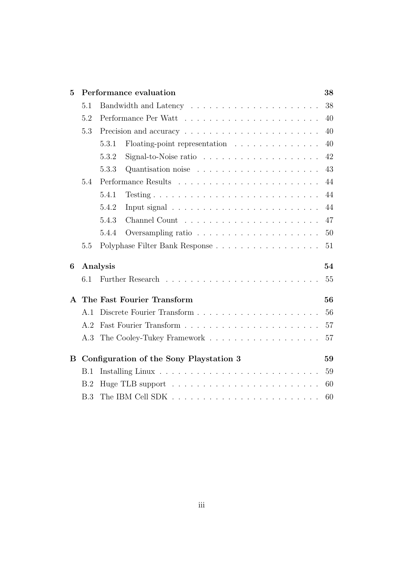| $\overline{5}$ |                | Performance evaluation                                                            | 38 |
|----------------|----------------|-----------------------------------------------------------------------------------|----|
|                | 5.1            |                                                                                   | 38 |
|                | 5.2            |                                                                                   | 40 |
|                | 5.3            |                                                                                   | 40 |
|                |                | 5.3.1<br>Floating-point representation $\ldots \ldots \ldots \ldots$              | 40 |
|                |                | Signal-to-Noise ratio $\ldots \ldots \ldots \ldots \ldots \ldots$<br>5.3.2        | 42 |
|                |                | 5.3.3                                                                             | 43 |
|                | 5.4            |                                                                                   | 44 |
|                |                | 5.4.1                                                                             | 44 |
|                |                | 5.4.2<br>Input signal $\ldots \ldots \ldots \ldots \ldots \ldots \ldots$          | 44 |
|                |                | 5.4.3                                                                             | 47 |
|                |                | Oversampling ratio $\ldots \ldots \ldots \ldots \ldots \ldots$<br>5.4.4           | 50 |
|                | 5.5            |                                                                                   | 51 |
| 6              |                | Analysis                                                                          | 54 |
|                | 6.1            |                                                                                   | 55 |
|                |                | A The Fast Fourier Transform                                                      | 56 |
|                | A.1            |                                                                                   | 56 |
|                | A <sub>2</sub> |                                                                                   | 57 |
|                |                |                                                                                   | 57 |
| B              |                | Configuration of the Sony Playstation 3                                           | 59 |
|                | B.1            |                                                                                   | 59 |
|                | B.2            |                                                                                   | 60 |
|                | B.3            | The IBM Cell SDK $\ldots \ldots \ldots \ldots \ldots \ldots \ldots \ldots \ldots$ | 60 |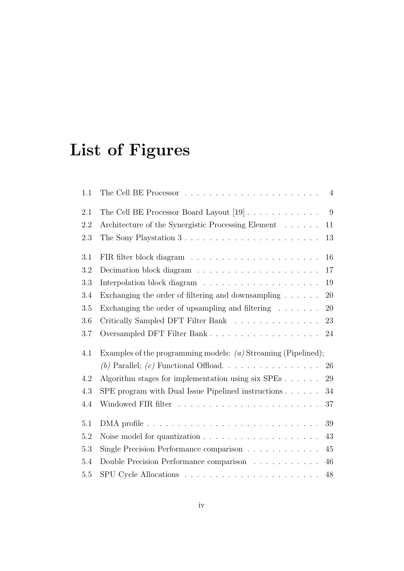# List of Figures

| 1.1     | $\overline{4}$                                                                   |
|---------|----------------------------------------------------------------------------------|
| 2.1     | The Cell BE Processor Board Layout $[19] \ldots \ldots \ldots \ldots$<br>9       |
| 2.2     | Architecture of the Synergistic Processing Element<br>11                         |
| 2.3     | The Sony Playstation 3<br>13                                                     |
| 3.1     | 16                                                                               |
| 3.2     | 17                                                                               |
| 3.3     | 19                                                                               |
| 3.4     | Exchanging the order of filtering and downsampling $.\,.\,.\,.\,.\,.\,.\,$<br>20 |
| 3.5     | Exchanging the order of upsampling and filtering $\ldots \ldots$<br>20           |
| 3.6     | Critically Sampled DFT Filter Bank<br>23                                         |
| 3.7     | 24                                                                               |
| 4.1     | Examples of the programming models: $(a)$ Streaming (Pipelined);                 |
|         | 26                                                                               |
| 4.2     | Algorithm stages for implementation using $six$ $SPEs$<br>29                     |
| 4.3     | SPE program with Dual Issue Pipelined instructions $\ldots \ldots$<br>34         |
| 4.4     | 37                                                                               |
| 5.1     | 39                                                                               |
| $5.2\,$ | 43                                                                               |
| 5.3     | Single Precision Performance comparison<br>45                                    |
|         |                                                                                  |
| 5.4     | Double Precision Performance comparison<br>46                                    |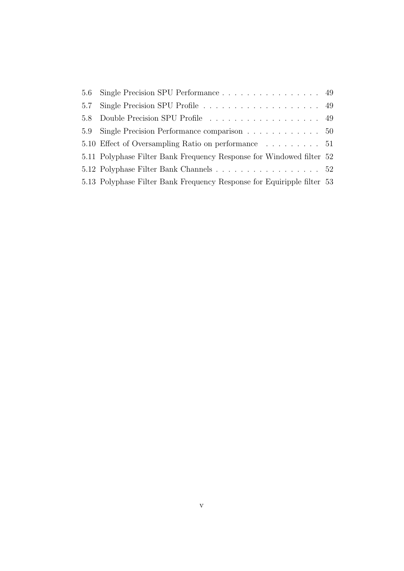| 5.6 Single Precision SPU Performance 49                                |  |
|------------------------------------------------------------------------|--|
|                                                                        |  |
| 5.8 Double Precision SPU Profile 49                                    |  |
| 5.9 Single Precision Performance comparison 50                         |  |
| 5.10 Effect of Oversampling Ratio on performance 51                    |  |
| 5.11 Polyphase Filter Bank Frequency Response for Windowed filter 52   |  |
| 5.12 Polyphase Filter Bank Channels 52                                 |  |
| 5.13 Polyphase Filter Bank Frequency Response for Equiripple filter 53 |  |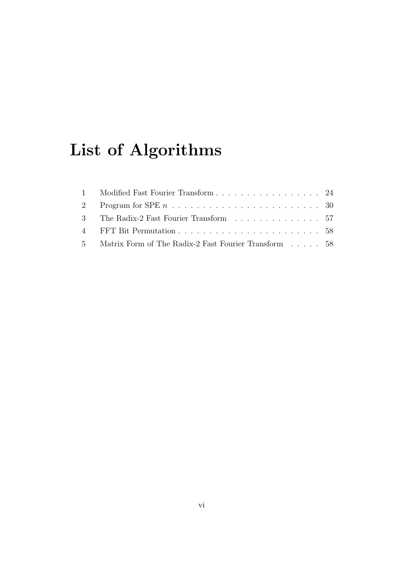# List of Algorithms

| 1 Modified Fast Fourier Transform 24                    |  |
|---------------------------------------------------------|--|
|                                                         |  |
| 3 The Radix-2 Fast Fourier Transform 57                 |  |
|                                                         |  |
| 5 Matrix Form of The Radix-2 Fast Fourier Transform  58 |  |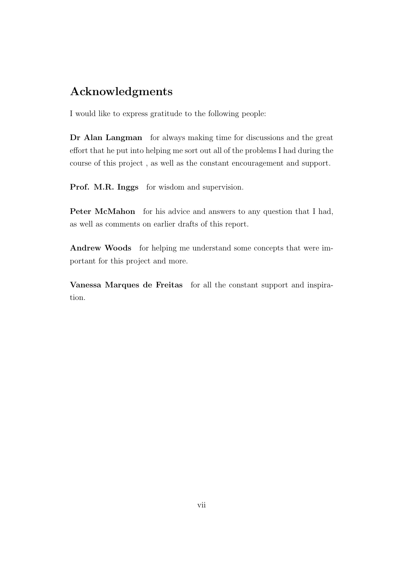### Acknowledgments

I would like to express gratitude to the following people:

Dr Alan Langman for always making time for discussions and the great effort that he put into helping me sort out all of the problems I had during the course of this project , as well as the constant encouragement and support.

Prof. M.R. Inggs for wisdom and supervision.

Peter McMahon for his advice and answers to any question that I had, as well as comments on earlier drafts of this report.

Andrew Woods for helping me understand some concepts that were important for this project and more.

Vanessa Marques de Freitas for all the constant support and inspiration.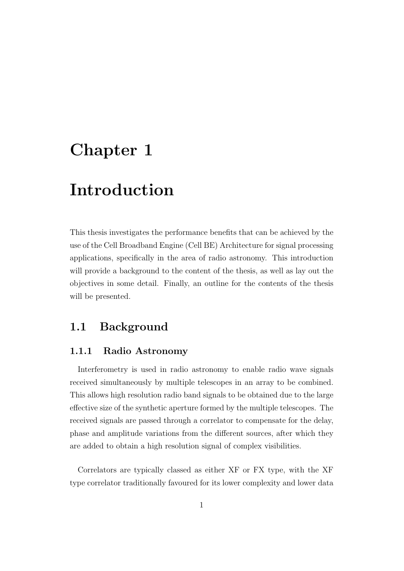## Chapter 1

## Introduction

This thesis investigates the performance benefits that can be achieved by the use of the Cell Broadband Engine (Cell BE) Architecture for signal processing applications, specifically in the area of radio astronomy. This introduction will provide a background to the content of the thesis, as well as lay out the objectives in some detail. Finally, an outline for the contents of the thesis will be presented.

### 1.1 Background

#### 1.1.1 Radio Astronomy

Interferometry is used in radio astronomy to enable radio wave signals received simultaneously by multiple telescopes in an array to be combined. This allows high resolution radio band signals to be obtained due to the large effective size of the synthetic aperture formed by the multiple telescopes. The received signals are passed through a correlator to compensate for the delay, phase and amplitude variations from the different sources, after which they are added to obtain a high resolution signal of complex visibilities.

Correlators are typically classed as either XF or FX type, with the XF type correlator traditionally favoured for its lower complexity and lower data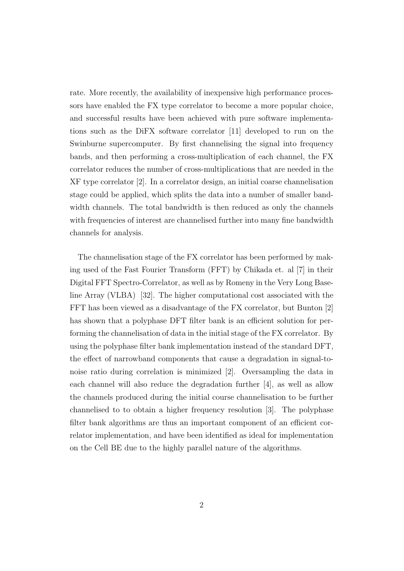rate. More recently, the availability of inexpensive high performance processors have enabled the FX type correlator to become a more popular choice, and successful results have been achieved with pure software implementations such as the DiFX software correlator [11] developed to run on the Swinburne supercomputer. By first channelising the signal into frequency bands, and then performing a cross-multiplication of each channel, the FX correlator reduces the number of cross-multiplications that are needed in the XF type correlator [2]. In a correlator design, an initial coarse channelisation stage could be applied, which splits the data into a number of smaller bandwidth channels. The total bandwidth is then reduced as only the channels with frequencies of interest are channelised further into many fine bandwidth channels for analysis.

The channelisation stage of the FX correlator has been performed by making used of the Fast Fourier Transform (FFT) by Chikada et. al [7] in their Digital FFT Spectro-Correlator, as well as by Romeny in the Very Long Baseline Array (VLBA) [32]. The higher computational cost associated with the FFT has been viewed as a disadvantage of the FX correlator, but Bunton [2] has shown that a polyphase DFT filter bank is an efficient solution for performing the channelisation of data in the initial stage of the FX correlator. By using the polyphase filter bank implementation instead of the standard DFT, the effect of narrowband components that cause a degradation in signal-tonoise ratio during correlation is minimized [2]. Oversampling the data in each channel will also reduce the degradation further [4], as well as allow the channels produced during the initial course channelisation to be further channelised to to obtain a higher frequency resolution [3]. The polyphase filter bank algorithms are thus an important component of an efficient correlator implementation, and have been identified as ideal for implementation on the Cell BE due to the highly parallel nature of the algorithms.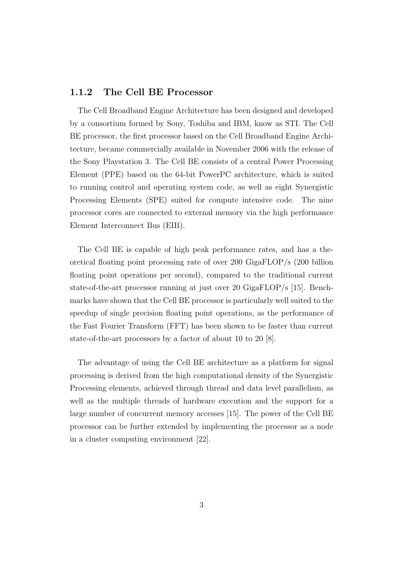#### 1.1.2 The Cell BE Processor

The Cell Broadband Engine Architecture has been designed and developed by a consortium formed by Sony, Toshiba and IBM, know as STI. The Cell BE processor, the first processor based on the Cell Broadband Engine Architecture, became commercially available in November 2006 with the release of the Sony Playstation 3. The Cell BE consists of a central Power Processing Element (PPE) based on the 64-bit PowerPC architecture, which is suited to running control and operating system code, as well as eight Synergistic Processing Elements (SPE) suited for compute intensive code. The nine processor cores are connected to external memory via the high performance Element Interconnect Bus (EIB).

The Cell BE is capable of high peak performance rates, and has a theoretical floating point processing rate of over 200 GigaFLOP/s (200 billion floating point operations per second), compared to the traditional current state-of-the-art processor running at just over 20 GigaFLOP/s [15]. Benchmarks have shown that the Cell BE processor is particularly well suited to the speedup of single precision floating point operations, as the performance of the Fast Fourier Transform (FFT) has been shown to be faster than current state-of-the-art processors by a factor of about 10 to 20 [8].

The advantage of using the Cell BE architecture as a platform for signal processing is derived from the high computational density of the Synergistic Processing elements, achieved through thread and data level parallelism, as well as the multiple threads of hardware execution and the support for a large number of concurrent memory accesses [15]. The power of the Cell BE processor can be further extended by implementing the processor as a node in a cluster computing environment [22].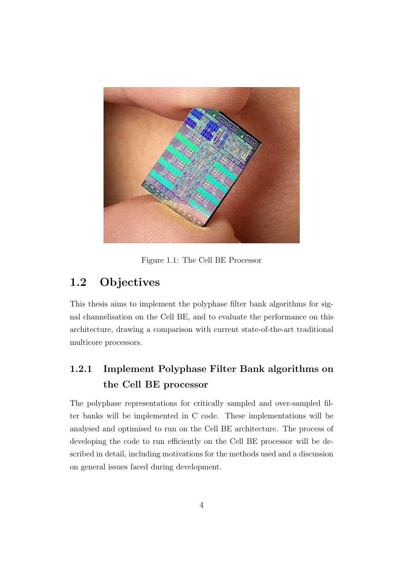

Figure 1.1: The Cell BE Processor

## 1.2 Objectives

This thesis aims to implement the polyphase filter bank algorithms for signal channelisation on the Cell BE, and to evaluate the performance on this architecture, drawing a comparison with current state-of-the-art traditional multicore processors.

### 1.2.1 Implement Polyphase Filter Bank algorithms on the Cell BE processor

The polyphase representations for critically sampled and over-sampled filter banks will be implemented in C code. These implementations will be analysed and optimised to run on the Cell BE architecture. The process of developing the code to run efficiently on the Cell BE processor will be described in detail, including motivations for the methods used and a discussion on general issues faced during development.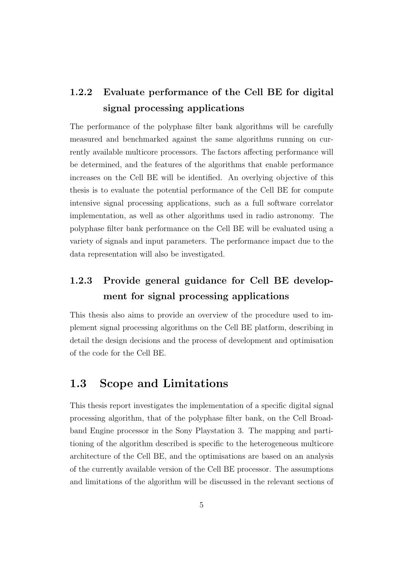### 1.2.2 Evaluate performance of the Cell BE for digital signal processing applications

The performance of the polyphase filter bank algorithms will be carefully measured and benchmarked against the same algorithms running on currently available multicore processors. The factors affecting performance will be determined, and the features of the algorithms that enable performance increases on the Cell BE will be identified. An overlying objective of this thesis is to evaluate the potential performance of the Cell BE for compute intensive signal processing applications, such as a full software correlator implementation, as well as other algorithms used in radio astronomy. The polyphase filter bank performance on the Cell BE will be evaluated using a variety of signals and input parameters. The performance impact due to the data representation will also be investigated.

### 1.2.3 Provide general guidance for Cell BE development for signal processing applications

This thesis also aims to provide an overview of the procedure used to implement signal processing algorithms on the Cell BE platform, describing in detail the design decisions and the process of development and optimisation of the code for the Cell BE.

#### 1.3 Scope and Limitations

This thesis report investigates the implementation of a specific digital signal processing algorithm, that of the polyphase filter bank, on the Cell Broadband Engine processor in the Sony Playstation 3. The mapping and partitioning of the algorithm described is specific to the heterogeneous multicore architecture of the Cell BE, and the optimisations are based on an analysis of the currently available version of the Cell BE processor. The assumptions and limitations of the algorithm will be discussed in the relevant sections of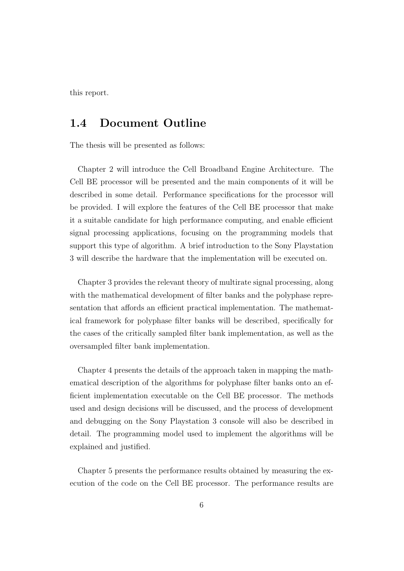this report.

#### 1.4 Document Outline

The thesis will be presented as follows:

Chapter 2 will introduce the Cell Broadband Engine Architecture. The Cell BE processor will be presented and the main components of it will be described in some detail. Performance specifications for the processor will be provided. I will explore the features of the Cell BE processor that make it a suitable candidate for high performance computing, and enable efficient signal processing applications, focusing on the programming models that support this type of algorithm. A brief introduction to the Sony Playstation 3 will describe the hardware that the implementation will be executed on.

Chapter 3 provides the relevant theory of multirate signal processing, along with the mathematical development of filter banks and the polyphase representation that affords an efficient practical implementation. The mathematical framework for polyphase filter banks will be described, specifically for the cases of the critically sampled filter bank implementation, as well as the oversampled filter bank implementation.

Chapter 4 presents the details of the approach taken in mapping the mathematical description of the algorithms for polyphase filter banks onto an efficient implementation executable on the Cell BE processor. The methods used and design decisions will be discussed, and the process of development and debugging on the Sony Playstation 3 console will also be described in detail. The programming model used to implement the algorithms will be explained and justified.

Chapter 5 presents the performance results obtained by measuring the execution of the code on the Cell BE processor. The performance results are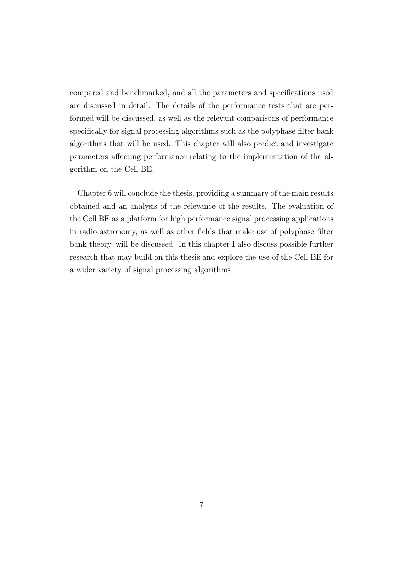compared and benchmarked, and all the parameters and specifications used are discussed in detail. The details of the performance tests that are performed will be discussed, as well as the relevant comparisons of performance specifically for signal processing algorithms such as the polyphase filter bank algorithms that will be used. This chapter will also predict and investigate parameters affecting performance relating to the implementation of the algorithm on the Cell BE.

Chapter 6 will conclude the thesis, providing a summary of the main results obtained and an analysis of the relevance of the results. The evaluation of the Cell BE as a platform for high performance signal processing applications in radio astronomy, as well as other fields that make use of polyphase filter bank theory, will be discussed. In this chapter I also discuss possible further research that may build on this thesis and explore the use of the Cell BE for a wider variety of signal processing algorithms.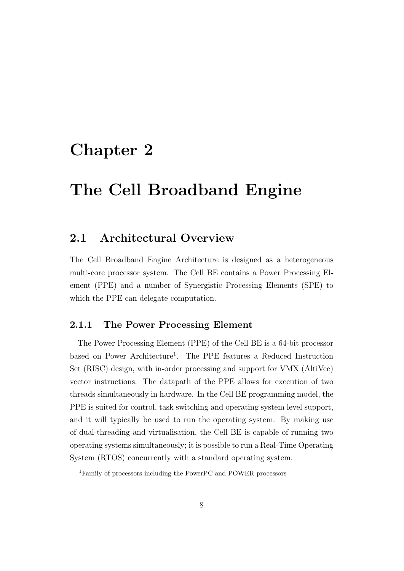## Chapter 2

## The Cell Broadband Engine

#### 2.1 Architectural Overview

The Cell Broadband Engine Architecture is designed as a heterogeneous multi-core processor system. The Cell BE contains a Power Processing Element (PPE) and a number of Synergistic Processing Elements (SPE) to which the PPE can delegate computation.

#### 2.1.1 The Power Processing Element

The Power Processing Element (PPE) of the Cell BE is a 64-bit processor based on Power Architecture<sup>1</sup>. The PPE features a Reduced Instruction Set (RISC) design, with in-order processing and support for VMX (AltiVec) vector instructions. The datapath of the PPE allows for execution of two threads simultaneously in hardware. In the Cell BE programming model, the PPE is suited for control, task switching and operating system level support, and it will typically be used to run the operating system. By making use of dual-threading and virtualisation, the Cell BE is capable of running two operating systems simultaneously; it is possible to run a Real-Time Operating System (RTOS) concurrently with a standard operating system.

<sup>1</sup>Family of processors including the PowerPC and POWER processors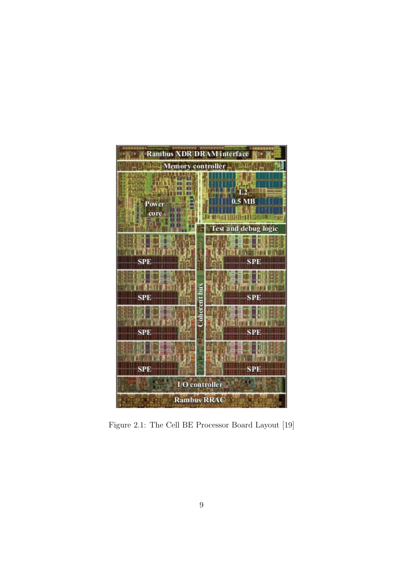

Figure 2.1: The Cell BE Processor Board Layout [19]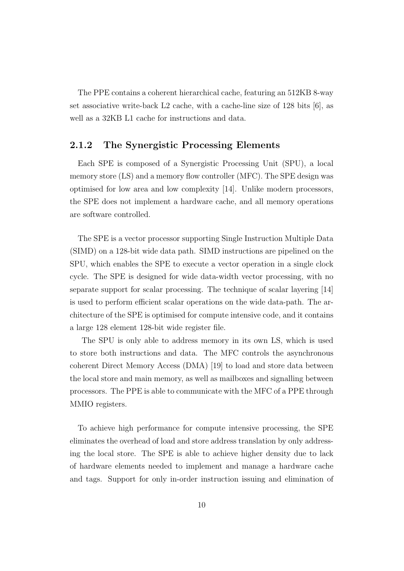The PPE contains a coherent hierarchical cache, featuring an 512KB 8-way set associative write-back  $L2$  cache, with a cache-line size of 128 bits [6], as well as a 32KB L1 cache for instructions and data.

#### 2.1.2 The Synergistic Processing Elements

Each SPE is composed of a Synergistic Processing Unit (SPU), a local memory store (LS) and a memory flow controller (MFC). The SPE design was optimised for low area and low complexity [14]. Unlike modern processors, the SPE does not implement a hardware cache, and all memory operations are software controlled.

The SPE is a vector processor supporting Single Instruction Multiple Data (SIMD) on a 128-bit wide data path. SIMD instructions are pipelined on the SPU, which enables the SPE to execute a vector operation in a single clock cycle. The SPE is designed for wide data-width vector processing, with no separate support for scalar processing. The technique of scalar layering [14] is used to perform efficient scalar operations on the wide data-path. The architecture of the SPE is optimised for compute intensive code, and it contains a large 128 element 128-bit wide register file.

The SPU is only able to address memory in its own LS, which is used to store both instructions and data. The MFC controls the asynchronous coherent Direct Memory Access (DMA) [19] to load and store data between the local store and main memory, as well as mailboxes and signalling between processors. The PPE is able to communicate with the MFC of a PPE through MMIO registers.

To achieve high performance for compute intensive processing, the SPE eliminates the overhead of load and store address translation by only addressing the local store. The SPE is able to achieve higher density due to lack of hardware elements needed to implement and manage a hardware cache and tags. Support for only in-order instruction issuing and elimination of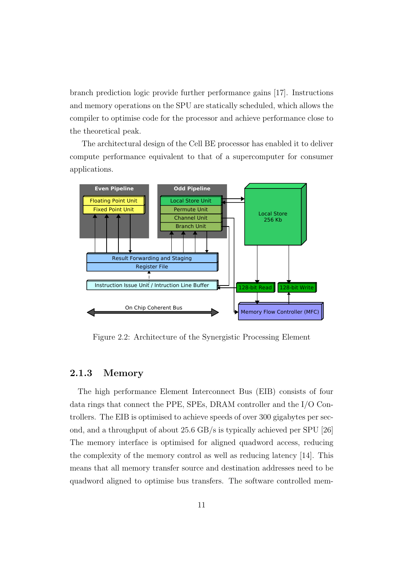branch prediction logic provide further performance gains [17]. Instructions and memory operations on the SPU are statically scheduled, which allows the compiler to optimise code for the processor and achieve performance close to the theoretical peak.

The architectural design of the Cell BE processor has enabled it to deliver compute performance equivalent to that of a supercomputer for consumer applications.



Figure 2.2: Architecture of the Synergistic Processing Element

#### 2.1.3 Memory

The high performance Element Interconnect Bus (EIB) consists of four data rings that connect the PPE, SPEs, DRAM controller and the I/O Controllers. The EIB is optimised to achieve speeds of over 300 gigabytes per second, and a throughput of about 25.6 GB/s is typically achieved per SPU [26] The memory interface is optimised for aligned quadword access, reducing the complexity of the memory control as well as reducing latency [14]. This means that all memory transfer source and destination addresses need to be quadword aligned to optimise bus transfers. The software controlled mem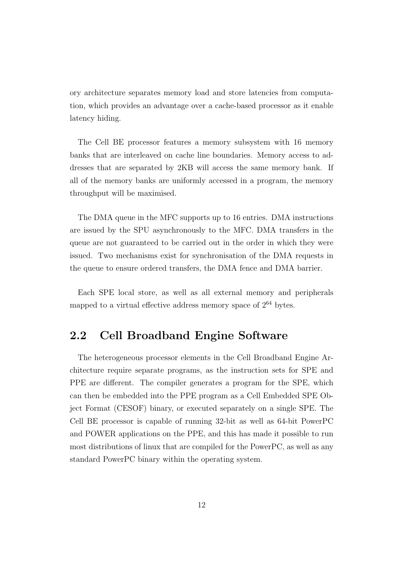ory architecture separates memory load and store latencies from computation, which provides an advantage over a cache-based processor as it enable latency hiding.

The Cell BE processor features a memory subsystem with 16 memory banks that are interleaved on cache line boundaries. Memory access to addresses that are separated by 2KB will access the same memory bank. If all of the memory banks are uniformly accessed in a program, the memory throughput will be maximised.

The DMA queue in the MFC supports up to 16 entries. DMA instructions are issued by the SPU asynchronously to the MFC. DMA transfers in the queue are not guaranteed to be carried out in the order in which they were issued. Two mechanisms exist for synchronisation of the DMA requests in the queue to ensure ordered transfers, the DMA fence and DMA barrier.

Each SPE local store, as well as all external memory and peripherals mapped to a virtual effective address memory space of  $2^{64}$  bytes.

#### 2.2 Cell Broadband Engine Software

The heterogeneous processor elements in the Cell Broadband Engine Architecture require separate programs, as the instruction sets for SPE and PPE are different. The compiler generates a program for the SPE, which can then be embedded into the PPE program as a Cell Embedded SPE Object Format (CESOF) binary, or executed separately on a single SPE. The Cell BE processor is capable of running 32-bit as well as 64-bit PowerPC and POWER applications on the PPE, and this has made it possible to run most distributions of linux that are compiled for the PowerPC, as well as any standard PowerPC binary within the operating system.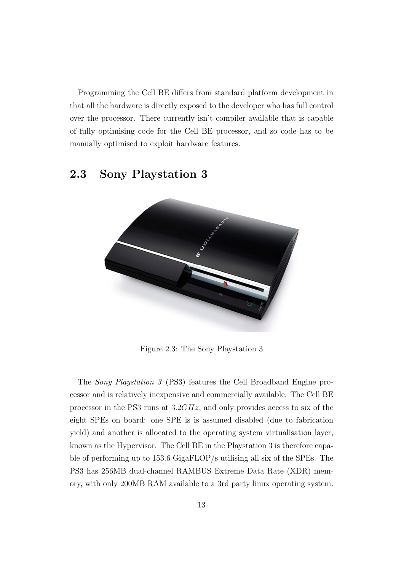Programming the Cell BE differs from standard platform development in that all the hardware is directly exposed to the developer who has full control over the processor. There currently isn't compiler available that is capable of fully optimising code for the Cell BE processor, and so code has to be manually optimised to exploit hardware features.

#### 2.3 Sony Playstation 3



Figure 2.3: The Sony Playstation 3

The Sony Playstation 3 (PS3) features the Cell Broadband Engine processor and is relatively inexpensive and commercially available. The Cell BE processor in the PS3 runs at 3.2GHz, and only provides access to six of the eight SPEs on board: one SPE is is assumed disabled (due to fabrication yield) and another is allocated to the operating system virtualisation layer, known as the Hypervisor. The Cell BE in the Playstation 3 is therefore capable of performing up to 153.6 GigaFLOP/s utilising all six of the SPEs. The PS3 has 256MB dual-channel RAMBUS Extreme Data Rate (XDR) memory, with only 200MB RAM available to a 3rd party linux operating system.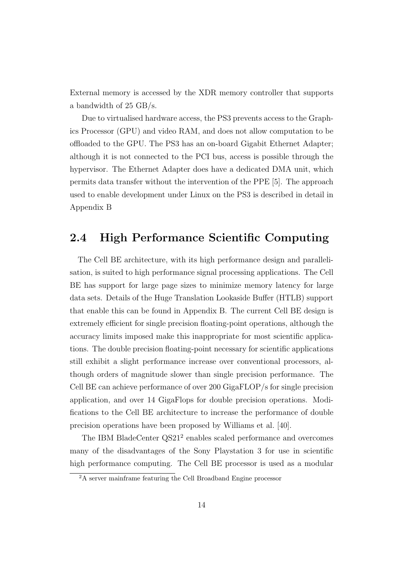External memory is accessed by the XDR memory controller that supports a bandwidth of 25 GB/s.

Due to virtualised hardware access, the PS3 prevents access to the Graphics Processor (GPU) and video RAM, and does not allow computation to be offloaded to the GPU. The PS3 has an on-board Gigabit Ethernet Adapter; although it is not connected to the PCI bus, access is possible through the hypervisor. The Ethernet Adapter does have a dedicated DMA unit, which permits data transfer without the intervention of the PPE [5]. The approach used to enable development under Linux on the PS3 is described in detail in Appendix B

### 2.4 High Performance Scientific Computing

The Cell BE architecture, with its high performance design and parallelisation, is suited to high performance signal processing applications. The Cell BE has support for large page sizes to minimize memory latency for large data sets. Details of the Huge Translation Lookaside Buffer (HTLB) support that enable this can be found in Appendix B. The current Cell BE design is extremely efficient for single precision floating-point operations, although the accuracy limits imposed make this inappropriate for most scientific applications. The double precision floating-point necessary for scientific applications still exhibit a slight performance increase over conventional processors, although orders of magnitude slower than single precision performance. The Cell BE can achieve performance of over 200 GigaFLOP/s for single precision application, and over 14 GigaFlops for double precision operations. Modifications to the Cell BE architecture to increase the performance of double precision operations have been proposed by Williams et al. [40].

The IBM BladeCenter QS21<sup>2</sup> enables scaled performance and overcomes many of the disadvantages of the Sony Playstation 3 for use in scientific high performance computing. The Cell BE processor is used as a modular

<sup>2</sup>A server mainframe featuring the Cell Broadband Engine processor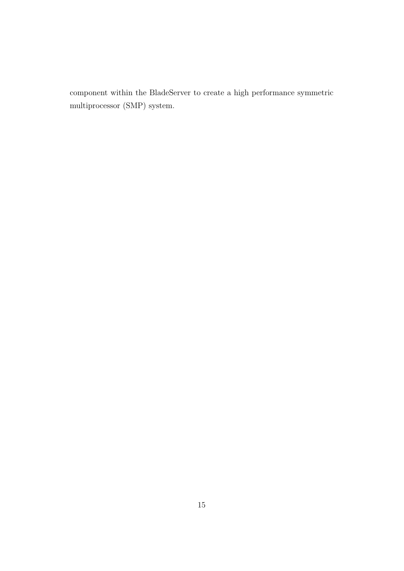component within the BladeServer to create a high performance symmetric multiprocessor (SMP) system.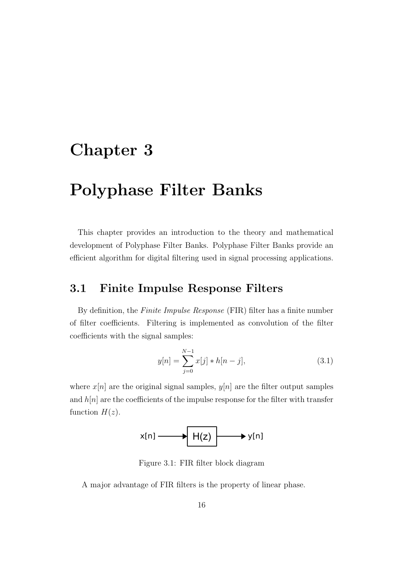## Chapter 3

## Polyphase Filter Banks

This chapter provides an introduction to the theory and mathematical development of Polyphase Filter Banks. Polyphase Filter Banks provide an efficient algorithm for digital filtering used in signal processing applications.

#### 3.1 Finite Impulse Response Filters

By definition, the Finite Impulse Response (FIR) filter has a finite number of filter coefficients. Filtering is implemented as convolution of the filter coefficients with the signal samples:

$$
y[n] = \sum_{j=0}^{N-1} x[j] * h[n-j],
$$
\n(3.1)

where  $x[n]$  are the original signal samples,  $y[n]$  are the filter output samples and  $h[n]$  are the coefficients of the impulse response for the filter with transfer function  $H(z)$ .



Figure 3.1: FIR filter block diagram

A major advantage of FIR filters is the property of linear phase.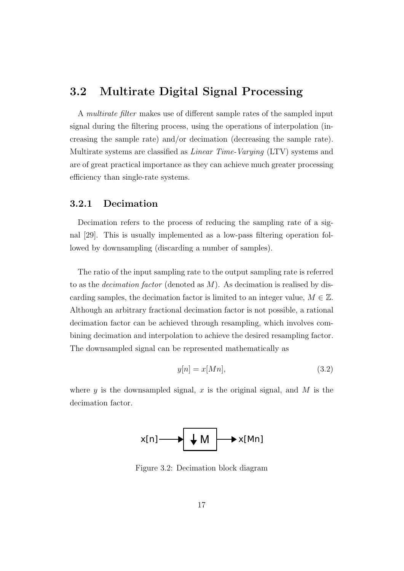#### 3.2 Multirate Digital Signal Processing

A multirate filter makes use of different sample rates of the sampled input signal during the filtering process, using the operations of interpolation (increasing the sample rate) and/or decimation (decreasing the sample rate). Multirate systems are classified as *Linear Time-Varying* (LTV) systems and are of great practical importance as they can achieve much greater processing efficiency than single-rate systems.

#### 3.2.1 Decimation

Decimation refers to the process of reducing the sampling rate of a signal [29]. This is usually implemented as a low-pass filtering operation followed by downsampling (discarding a number of samples).

The ratio of the input sampling rate to the output sampling rate is referred to as the *decimation factor* (denoted as  $M$ ). As decimation is realised by discarding samples, the decimation factor is limited to an integer value,  $M \in \mathbb{Z}$ . Although an arbitrary fractional decimation factor is not possible, a rational decimation factor can be achieved through resampling, which involves combining decimation and interpolation to achieve the desired resampling factor. The downsampled signal can be represented mathematically as

$$
y[n] = x[Mn],\tag{3.2}
$$

where  $y$  is the downsampled signal, x is the original signal, and M is the decimation factor.



Figure 3.2: Decimation block diagram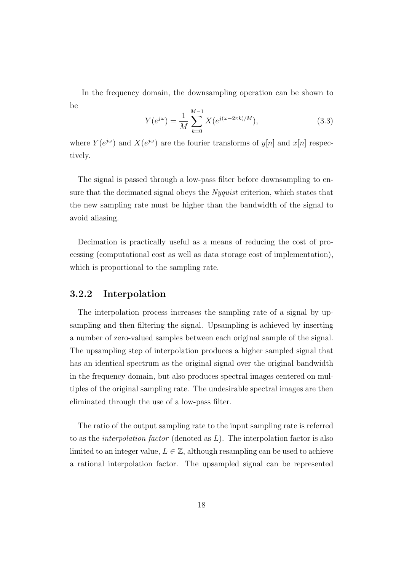In the frequency domain, the downsampling operation can be shown to be

$$
Y(e^{j\omega}) = \frac{1}{M} \sum_{k=0}^{M-1} X(e^{j(\omega - 2\pi k)/M}), \qquad (3.3)
$$

where  $Y(e^{j\omega})$  and  $X(e^{j\omega})$  are the fourier transforms of  $y[n]$  and  $x[n]$  respectively.

The signal is passed through a low-pass filter before downsampling to ensure that the decimated signal obeys the *Nyquist* criterion, which states that the new sampling rate must be higher than the bandwidth of the signal to avoid aliasing.

Decimation is practically useful as a means of reducing the cost of processing (computational cost as well as data storage cost of implementation), which is proportional to the sampling rate.

#### 3.2.2 Interpolation

The interpolation process increases the sampling rate of a signal by upsampling and then filtering the signal. Upsampling is achieved by inserting a number of zero-valued samples between each original sample of the signal. The upsampling step of interpolation produces a higher sampled signal that has an identical spectrum as the original signal over the original bandwidth in the frequency domain, but also produces spectral images centered on multiples of the original sampling rate. The undesirable spectral images are then eliminated through the use of a low-pass filter.

The ratio of the output sampling rate to the input sampling rate is referred to as the *interpolation factor* (denoted as  $L$ ). The interpolation factor is also limited to an integer value,  $L \in \mathbb{Z}$ , although resampling can be used to achieve a rational interpolation factor. The upsampled signal can be represented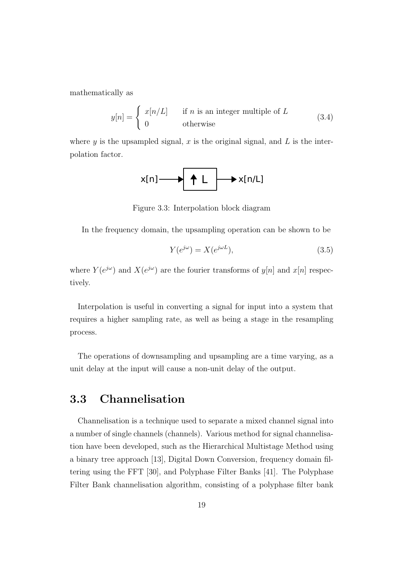mathematically as

$$
y[n] = \begin{cases} x[n/L] & \text{if } n \text{ is an integer multiple of } L \\ 0 & \text{otherwise} \end{cases}
$$
 (3.4)

where y is the upsampled signal, x is the original signal, and  $L$  is the interpolation factor.

$$
x[n] \longrightarrow \boxed{\uparrow \quad \downarrow} \longrightarrow x[n/L]
$$

Figure 3.3: Interpolation block diagram

In the frequency domain, the upsampling operation can be shown to be

$$
Y(e^{j\omega}) = X(e^{j\omega L}),\tag{3.5}
$$

where  $Y(e^{j\omega})$  and  $X(e^{j\omega})$  are the fourier transforms of  $y[n]$  and  $x[n]$  respectively.

Interpolation is useful in converting a signal for input into a system that requires a higher sampling rate, as well as being a stage in the resampling process.

The operations of downsampling and upsampling are a time varying, as a unit delay at the input will cause a non-unit delay of the output.

#### 3.3 Channelisation

Channelisation is a technique used to separate a mixed channel signal into a number of single channels (channels). Various method for signal channelisation have been developed, such as the Hierarchical Multistage Method using a binary tree approach [13], Digital Down Conversion, frequency domain filtering using the FFT [30], and Polyphase Filter Banks [41]. The Polyphase Filter Bank channelisation algorithm, consisting of a polyphase filter bank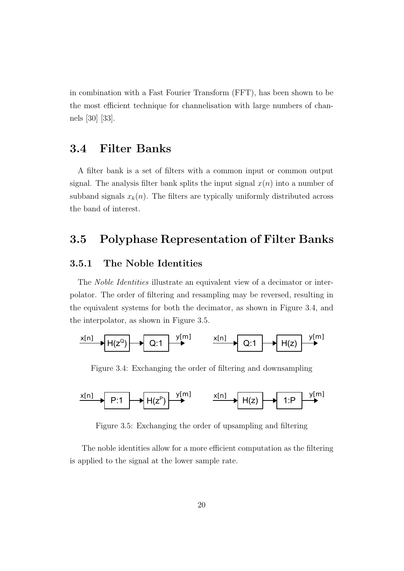in combination with a Fast Fourier Transform (FFT), has been shown to be the most efficient technique for channelisation with large numbers of channels [30] [33].

#### 3.4 Filter Banks

A filter bank is a set of filters with a common input or common output signal. The analysis filter bank splits the input signal  $x(n)$  into a number of subband signals  $x_k(n)$ . The filters are typically uniformly distributed across the band of interest.

#### 3.5 Polyphase Representation of Filter Banks

#### 3.5.1 The Noble Identities

The Noble Identities illustrate an equivalent view of a decimator or interpolator. The order of filtering and resampling may be reversed, resulting in the equivalent systems for both the decimator, as shown in Figure 3.4, and the interpolator, as shown in Figure 3.5.



Figure 3.4: Exchanging the order of filtering and downsampling



Figure 3.5: Exchanging the order of upsampling and filtering

The noble identities allow for a more efficient computation as the filtering is applied to the signal at the lower sample rate.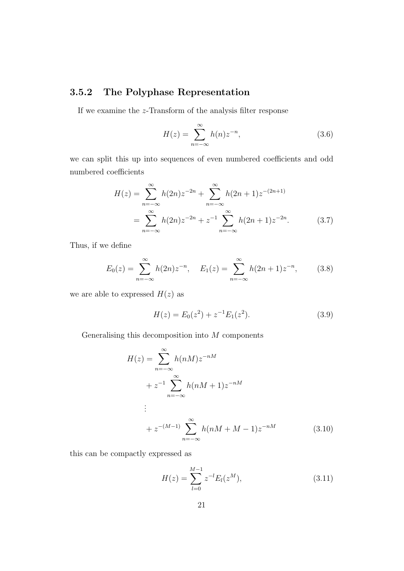#### 3.5.2 The Polyphase Representation

If we examine the z-Transform of the analysis filter response

$$
H(z) = \sum_{n = -\infty}^{\infty} h(n) z^{-n},
$$
\n(3.6)

we can split this up into sequences of even numbered coefficients and odd numbered coefficients

$$
H(z) = \sum_{n=-\infty}^{\infty} h(2n)z^{-2n} + \sum_{n=-\infty}^{\infty} h(2n+1)z^{-(2n+1)}
$$
  
= 
$$
\sum_{n=-\infty}^{\infty} h(2n)z^{-2n} + z^{-1} \sum_{n=-\infty}^{\infty} h(2n+1)z^{-2n}.
$$
 (3.7)

Thus, if we define

$$
E_0(z) = \sum_{n = -\infty}^{\infty} h(2n) z^{-n}, \quad E_1(z) = \sum_{n = -\infty}^{\infty} h(2n + 1) z^{-n}, \quad (3.8)
$$

we are able to expressed  $H(z)$  as

$$
H(z) = E_0(z^2) + z^{-1} E_1(z^2).
$$
 (3.9)

Generalising this decomposition into  $\cal M$  components

$$
H(z) = \sum_{n=-\infty}^{\infty} h(nM)z^{-nM}
$$
  
+  $z^{-1} \sum_{n=-\infty}^{\infty} h(nM+1)z^{-nM}$   
:  
+  $z^{-(M-1)} \sum_{n=-\infty}^{\infty} h(nM+M-1)z^{-nM}$  (3.10)

this can be compactly expressed as

$$
H(z) = \sum_{l=0}^{M-1} z^{-l} E_l(z^M), \qquad (3.11)
$$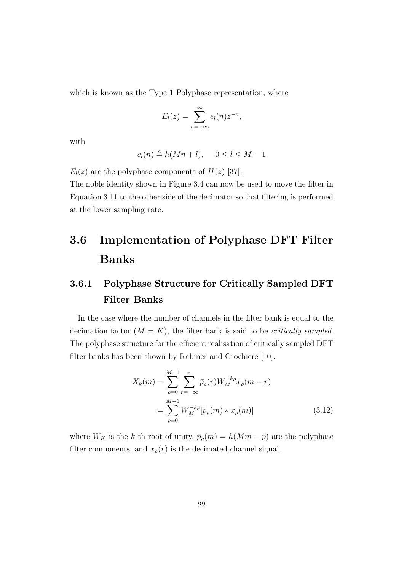which is known as the Type 1 Polyphase representation, where

$$
E_l(z) = \sum_{n=-\infty}^{\infty} e_l(n) z^{-n},
$$

with

$$
e_l(n) \triangleq h(Mn+l), \quad 0 \le l \le M-1
$$

 $E_l(z)$  are the polyphase components of  $H(z)$  [37].

The noble identity shown in Figure 3.4 can now be used to move the filter in Equation 3.11 to the other side of the decimator so that filtering is performed at the lower sampling rate.

## 3.6 Implementation of Polyphase DFT Filter Banks

### 3.6.1 Polyphase Structure for Critically Sampled DFT Filter Banks

In the case where the number of channels in the filter bank is equal to the decimation factor  $(M = K)$ , the filter bank is said to be *critically sampled*. The polyphase structure for the efficient realisation of critically sampled DFT filter banks has been shown by Rabiner and Crochiere [10].

$$
X_k(m) = \sum_{\rho=0}^{M-1} \sum_{r=-\infty}^{\infty} \bar{p}_{\rho}(r) W_M^{-k\rho} x_{\rho}(m-r)
$$
  
= 
$$
\sum_{\rho=0}^{M-1} W_M^{-k\rho} [\bar{p}_{\rho}(m) * x_{\rho}(m)]
$$
(3.12)

where  $W_K$  is the k-th root of unity,  $\bar{p}_p(m) = h(Mm - p)$  are the polyphase filter components, and  $x_{\rho}(r)$  is the decimated channel signal.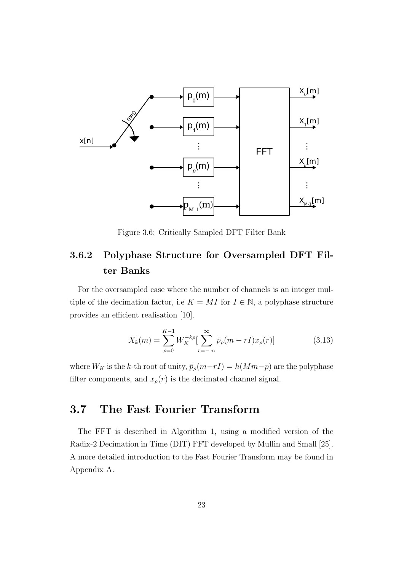

Figure 3.6: Critically Sampled DFT Filter Bank

### 3.6.2 Polyphase Structure for Oversampled DFT Filter Banks

For the oversampled case where the number of channels is an integer multiple of the decimation factor, i.e  $K = MI$  for  $I \in \mathbb{N}$ , a polyphase structure provides an efficient realisation [10].

$$
X_k(m) = \sum_{\rho=0}^{K-1} W_K^{-k\rho} \left[ \sum_{r=-\infty}^{\infty} \bar{p}_{\rho}(m-rI)x_{\rho}(r) \right]
$$
(3.13)

where  $W_K$  is the k-th root of unity,  $\bar{p}_\rho(m-rI) = h(Mm-p)$  are the polyphase filter components, and  $x_{\rho}(r)$  is the decimated channel signal.

## 3.7 The Fast Fourier Transform

The FFT is described in Algorithm 1, using a modified version of the Radix-2 Decimation in Time (DIT) FFT developed by Mullin and Small [25]. A more detailed introduction to the Fast Fourier Transform may be found in Appendix A.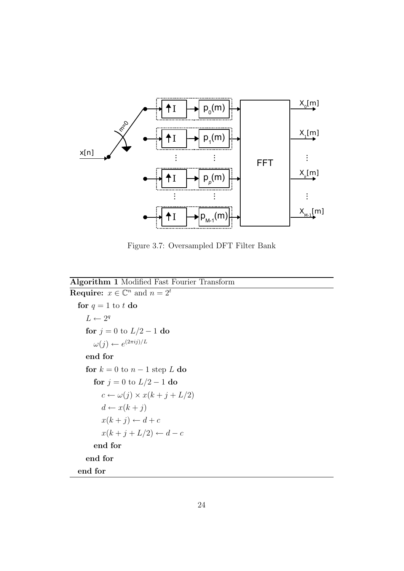

Figure 3.7: Oversampled DFT Filter Bank

```
Algorithm 1 Modified Fast Fourier Transform
Require: x \in \mathbb{C}^n and n = 2^tfor q = 1 to t do
      L \leftarrow 2^qfor j = 0 to L/2 - 1 do
        \omega(j) \leftarrow e^{(2\pi ij)/L}end for
     for k = 0 to n - 1 step L do
        for j = 0 to L/2 - 1 do
           c \leftarrow \omega(j) \times x(k + j + L/2)d \leftarrow x(k + j)x(k + j) \leftarrow d + c
```

```
x(k+j+L/2) \leftarrow d-cend for
end for
```
end for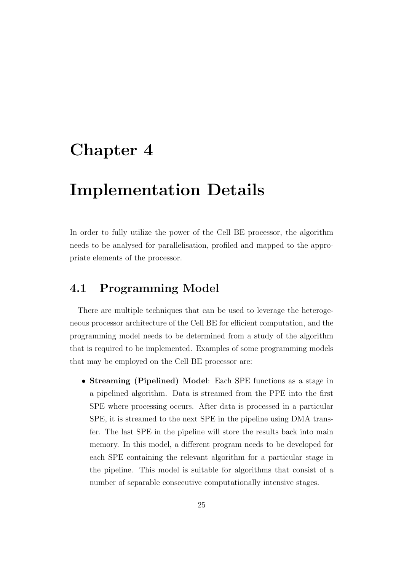## Chapter 4

## Implementation Details

In order to fully utilize the power of the Cell BE processor, the algorithm needs to be analysed for parallelisation, profiled and mapped to the appropriate elements of the processor.

### 4.1 Programming Model

There are multiple techniques that can be used to leverage the heterogeneous processor architecture of the Cell BE for efficient computation, and the programming model needs to be determined from a study of the algorithm that is required to be implemented. Examples of some programming models that may be employed on the Cell BE processor are:

• Streaming (Pipelined) Model: Each SPE functions as a stage in a pipelined algorithm. Data is streamed from the PPE into the first SPE where processing occurs. After data is processed in a particular SPE, it is streamed to the next SPE in the pipeline using DMA transfer. The last SPE in the pipeline will store the results back into main memory. In this model, a different program needs to be developed for each SPE containing the relevant algorithm for a particular stage in the pipeline. This model is suitable for algorithms that consist of a number of separable consecutive computationally intensive stages.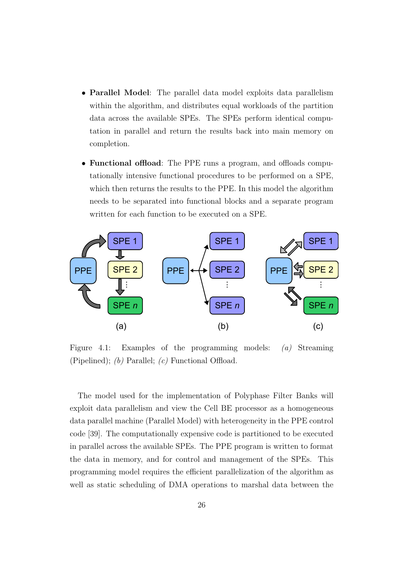- **Parallel Model**: The parallel data model exploits data parallelism within the algorithm, and distributes equal workloads of the partition data across the available SPEs. The SPEs perform identical computation in parallel and return the results back into main memory on completion.
- Functional offload: The PPE runs a program, and offloads computationally intensive functional procedures to be performed on a SPE, which then returns the results to the PPE. In this model the algorithm needs to be separated into functional blocks and a separate program written for each function to be executed on a SPE.



Figure 4.1: Examples of the programming models: (a) Streaming (Pipelined);  $(b)$  Parallel;  $(c)$  Functional Offload.

The model used for the implementation of Polyphase Filter Banks will exploit data parallelism and view the Cell BE processor as a homogeneous data parallel machine (Parallel Model) with heterogeneity in the PPE control code [39]. The computationally expensive code is partitioned to be executed in parallel across the available SPEs. The PPE program is written to format the data in memory, and for control and management of the SPEs. This programming model requires the efficient parallelization of the algorithm as well as static scheduling of DMA operations to marshal data between the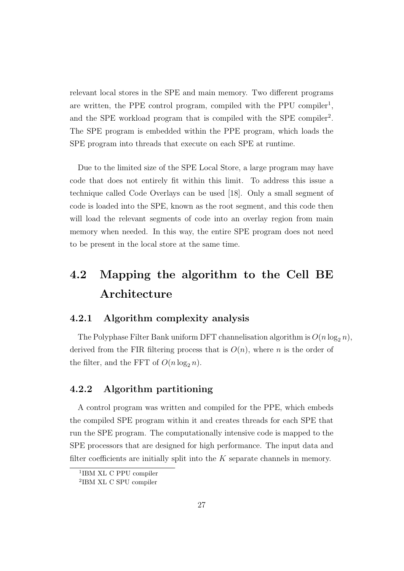relevant local stores in the SPE and main memory. Two different programs are written, the PPE control program, compiled with the PPU compiler<sup>1</sup>, and the SPE workload program that is compiled with the SPE compiler<sup>2</sup>. The SPE program is embedded within the PPE program, which loads the SPE program into threads that execute on each SPE at runtime.

Due to the limited size of the SPE Local Store, a large program may have code that does not entirely fit within this limit. To address this issue a technique called Code Overlays can be used [18]. Only a small segment of code is loaded into the SPE, known as the root segment, and this code then will load the relevant segments of code into an overlay region from main memory when needed. In this way, the entire SPE program does not need to be present in the local store at the same time.

## 4.2 Mapping the algorithm to the Cell BE Architecture

#### 4.2.1 Algorithm complexity analysis

The Polyphase Filter Bank uniform DFT channelisation algorithm is  $O(n \log_2 n)$ , derived from the FIR filtering process that is  $O(n)$ , where n is the order of the filter, and the FFT of  $O(n \log_2 n)$ .

#### 4.2.2 Algorithm partitioning

A control program was written and compiled for the PPE, which embeds the compiled SPE program within it and creates threads for each SPE that run the SPE program. The computationally intensive code is mapped to the SPE processors that are designed for high performance. The input data and filter coefficients are initially split into the  $K$  separate channels in memory.

<sup>1</sup> IBM XL C PPU compiler

<sup>2</sup> IBM XL C SPU compiler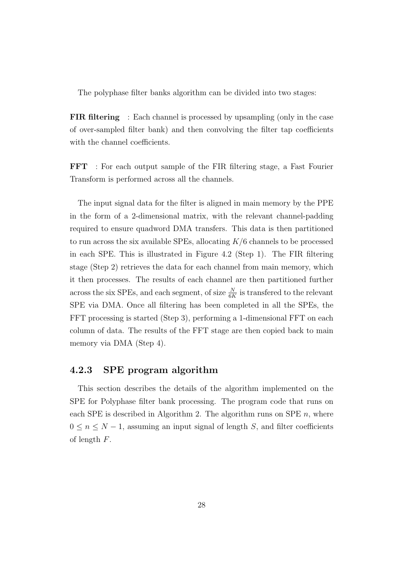The polyphase filter banks algorithm can be divided into two stages:

FIR filtering : Each channel is processed by upsampling (only in the case of over-sampled filter bank) and then convolving the filter tap coefficients with the channel coefficients.

FFT : For each output sample of the FIR filtering stage, a Fast Fourier Transform is performed across all the channels.

The input signal data for the filter is aligned in main memory by the PPE in the form of a 2-dimensional matrix, with the relevant channel-padding required to ensure quadword DMA transfers. This data is then partitioned to run across the six available SPEs, allocating  $K/6$  channels to be processed in each SPE. This is illustrated in Figure 4.2 (Step 1). The FIR filtering stage (Step 2) retrieves the data for each channel from main memory, which it then processes. The results of each channel are then partitioned further across the six SPEs, and each segment, of size  $\frac{N}{6K}$  is transfered to the relevant SPE via DMA. Once all filtering has been completed in all the SPEs, the FFT processing is started (Step 3), performing a 1-dimensional FFT on each column of data. The results of the FFT stage are then copied back to main memory via DMA (Step 4).

#### 4.2.3 SPE program algorithm

This section describes the details of the algorithm implemented on the SPE for Polyphase filter bank processing. The program code that runs on each SPE is described in Algorithm 2. The algorithm runs on SPE  $n$ , where  $0 \leq n \leq N-1$ , assuming an input signal of length S, and filter coefficients of length F.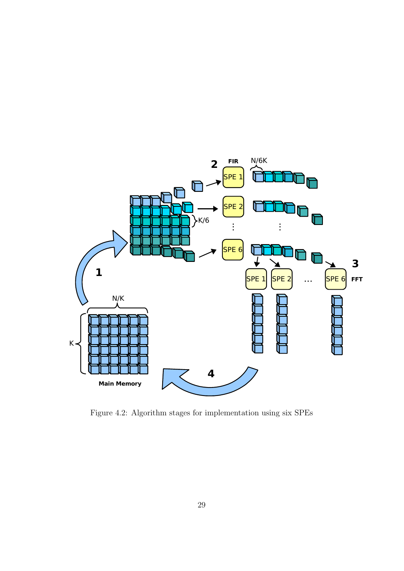

Figure 4.2: Algorithm stages for implementation using six SPEs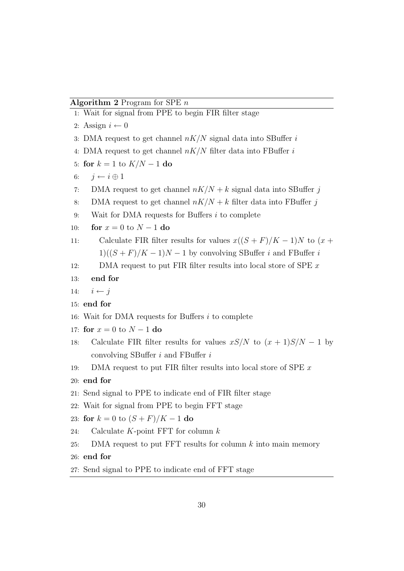#### Algorithm 2 Program for SPE  $n$

1: Wait for signal from PPE to begin FIR filter stage 2: Assign  $i \leftarrow 0$ 3: DMA request to get channel  $nK/N$  signal data into SBuffer i 4: DMA request to get channel  $nK/N$  filter data into FBuffer i 5: for  $k = 1$  to  $K/N - 1$  do 6:  $i \leftarrow i \oplus 1$ 7: DMA request to get channel  $nK/N + k$  signal data into SBuffer j 8: DMA request to get channel  $nK/N + k$  filter data into FBuffer j 9: Wait for DMA requests for Buffers  $i$  to complete 10: **for**  $x = 0$  to  $N - 1$  do 11: Calculate FIR filter results for values  $x((S + F)/K - 1)N$  to  $(x +$  $1)((S + F)/K - 1)N - 1$  by convolving SBuffer i and FBuffer i 12: DMA request to put FIR filter results into local store of SPE  $x$ 13: end for 14:  $i \leftarrow j$ 15: end for 16: Wait for DMA requests for Buffers  $i$  to complete 17: for  $x = 0$  to  $N - 1$  do 18: Calculate FIR filter results for values  $xS/N$  to  $(x + 1)S/N - 1$  by convolving SBuffer  $i$  and FBuffer  $i$ 19: DMA request to put FIR filter results into local store of SPE x 20: end for 21: Send signal to PPE to indicate end of FIR filter stage 22: Wait for signal from PPE to begin FFT stage 23: for  $k = 0$  to  $(S + F)/K - 1$  do 24: Calculate  $K$ -point FFT for column  $k$ 25: DMA request to put FFT results for column  $k$  into main memory 26: end for 27: Send signal to PPE to indicate end of FFT stage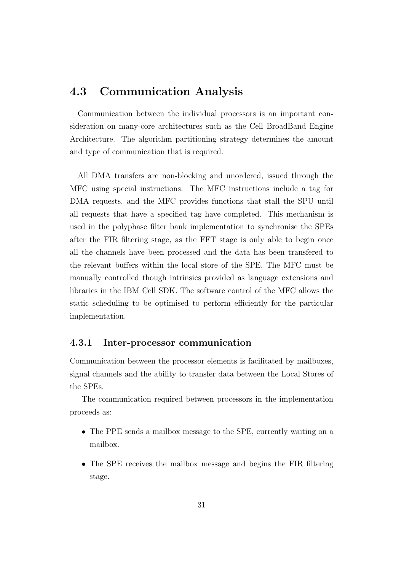## 4.3 Communication Analysis

Communication between the individual processors is an important consideration on many-core architectures such as the Cell BroadBand Engine Architecture. The algorithm partitioning strategy determines the amount and type of communication that is required.

All DMA transfers are non-blocking and unordered, issued through the MFC using special instructions. The MFC instructions include a tag for DMA requests, and the MFC provides functions that stall the SPU until all requests that have a specified tag have completed. This mechanism is used in the polyphase filter bank implementation to synchronise the SPEs after the FIR filtering stage, as the FFT stage is only able to begin once all the channels have been processed and the data has been transfered to the relevant buffers within the local store of the SPE. The MFC must be manually controlled though intrinsics provided as language extensions and libraries in the IBM Cell SDK. The software control of the MFC allows the static scheduling to be optimised to perform efficiently for the particular implementation.

#### 4.3.1 Inter-processor communication

Communication between the processor elements is facilitated by mailboxes, signal channels and the ability to transfer data between the Local Stores of the SPEs.

The communication required between processors in the implementation proceeds as:

- The PPE sends a mailbox message to the SPE, currently waiting on a mailbox.
- The SPE receives the mailbox message and begins the FIR filtering stage.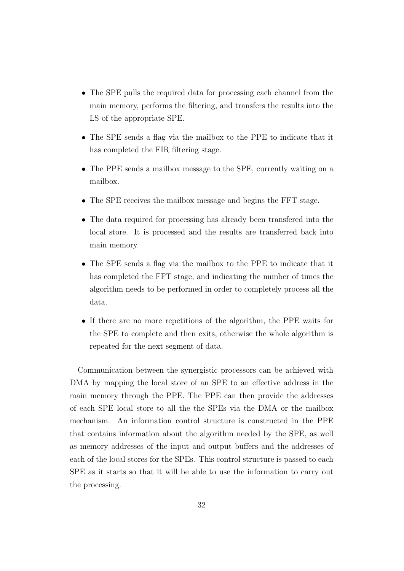- The SPE pulls the required data for processing each channel from the main memory, performs the filtering, and transfers the results into the LS of the appropriate SPE.
- The SPE sends a flag via the mailbox to the PPE to indicate that it has completed the FIR filtering stage.
- The PPE sends a mailbox message to the SPE, currently waiting on a mailbox.
- The SPE receives the mailbox message and begins the FFT stage.
- The data required for processing has already been transfered into the local store. It is processed and the results are transferred back into main memory.
- The SPE sends a flag via the mailbox to the PPE to indicate that it has completed the FFT stage, and indicating the number of times the algorithm needs to be performed in order to completely process all the data.
- If there are no more repetitions of the algorithm, the PPE waits for the SPE to complete and then exits, otherwise the whole algorithm is repeated for the next segment of data.

Communication between the synergistic processors can be achieved with DMA by mapping the local store of an SPE to an effective address in the main memory through the PPE. The PPE can then provide the addresses of each SPE local store to all the the SPEs via the DMA or the mailbox mechanism. An information control structure is constructed in the PPE that contains information about the algorithm needed by the SPE, as well as memory addresses of the input and output buffers and the addresses of each of the local stores for the SPEs. This control structure is passed to each SPE as it starts so that it will be able to use the information to carry out the processing.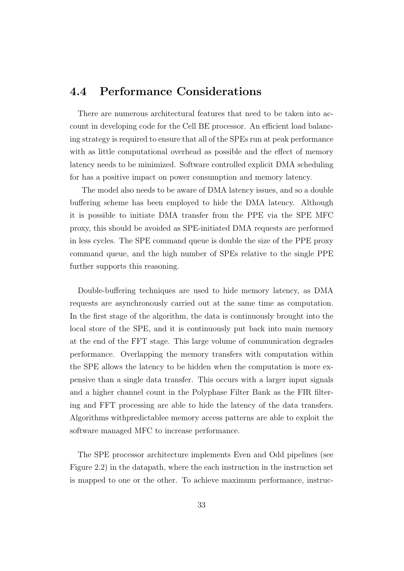### 4.4 Performance Considerations

There are numerous architectural features that need to be taken into account in developing code for the Cell BE processor. An efficient load balancing strategy is required to ensure that all of the SPEs run at peak performance with as little computational overhead as possible and the effect of memory latency needs to be minimized. Software controlled explicit DMA scheduling for has a positive impact on power consumption and memory latency.

The model also needs to be aware of DMA latency issues, and so a double buffering scheme has been employed to hide the DMA latency. Although it is possible to initiate DMA transfer from the PPE via the SPE MFC proxy, this should be avoided as SPE-initiated DMA requests are performed in less cycles. The SPE command queue is double the size of the PPE proxy command queue, and the high number of SPEs relative to the single PPE further supports this reasoning.

Double-buffering techniques are used to hide memory latency, as DMA requests are asynchronously carried out at the same time as computation. In the first stage of the algorithm, the data is continuously brought into the local store of the SPE, and it is continuously put back into main memory at the end of the FFT stage. This large volume of communication degrades performance. Overlapping the memory transfers with computation within the SPE allows the latency to be hidden when the computation is more expensive than a single data transfer. This occurs with a larger input signals and a higher channel count in the Polyphase Filter Bank as the FIR filtering and FFT processing are able to hide the latency of the data transfers. Algorithms withpredictablee memory access patterns are able to exploit the software managed MFC to increase performance.

The SPE processor architecture implements Even and Odd pipelines (see Figure 2.2) in the datapath, where the each instruction in the instruction set is mapped to one or the other. To achieve maximum performance, instruc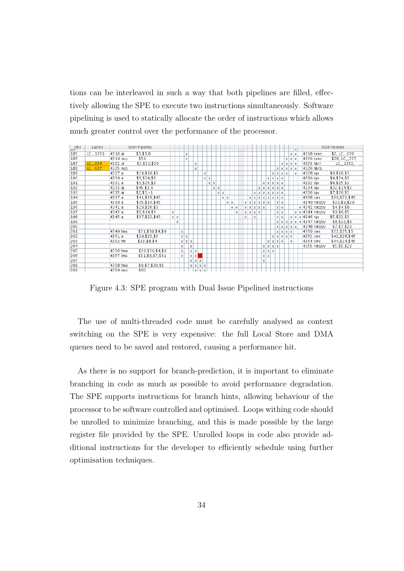tions can be interleaved in such a way that both pipelines are filled, effectively allowing the SPE to execute two instructions simultaneously. Software pipelining is used to statically allocate the order of instructions which allows much greater control over the performance of the processor.

| clks<br>ਤਿਹਾਸ | Labels                 |          | Even Pipeline        |   |            |            |            |                 |                   |          |   |          |             |            |            |            |            |   |                          |            |   |                   |            |                      |            |                   |              |            |                                         | Odd Pipeline     |
|---------------|------------------------|----------|----------------------|---|------------|------------|------------|-----------------|-------------------|----------|---|----------|-------------|------------|------------|------------|------------|---|--------------------------|------------|---|-------------------|------------|----------------------|------------|-------------------|--------------|------------|-----------------------------------------|------------------|
| 185           | LC <sub>22</sub> 1331: | 4316:ai  | \$3, \$3, 8          |   |            |            | X          |                 |                   |          |   |          |             |            |            |            |            |   |                          |            |   |                   |            |                      |            |                   |              | $x \mid x$ | 4318:brnz                               | $$2$ , LC_626    |
| 186           |                        | 4319:nop | \$59                 |   |            |            | X          |                 |                   |          |   |          |             |            |            |            |            |   |                          |            |   |                   |            |                      |            | $\times$          |              | $x \mid x$ | 4320:brnz                               | \$28, LC_225     |
| 187           | $LC_{-224}$            | 4322:or  | \$2,\$20,\$20        |   |            |            |            | X               |                   |          |   |          |             |            |            |            |            |   |                          |            |   |                   |            |                      | $\times$   | l x l             |              | $x \mid x$ | 4323:hbrr                               | $LC_{-.}1332,$   |
| 188           | LC <sub>1-</sub> 627:  | 4325:nop |                      |   |            |            |            | X               |                   |          |   |          |             |            |            |            |            |   |                          |            |   |                   |            |                      | $x \mid x$ | $\vert x \vert$   |              | $x \mid x$ | 4326:hbrp                               |                  |
| 189           |                        | 4327:a   | \$29, \$16, \$3      |   |            |            |            |                 |                   | X        |   |          |             |            |            |            |            |   |                          |            |   |                   |            | $\times$             |            | $x \mid x \mid x$ |              | $\times$   | 4328:lgx                                | \$9, \$16, \$3   |
| 190           |                        | 4329:a   | \$8, \$24, \$3       |   |            |            |            |                 |                   | $\times$ | X |          |             |            |            |            |            |   |                          |            |   |                   | X          | $x \mid x \mid x$    |            |                   |              |            | 4330:lgx                                | \$4, \$24, \$3   |
| 191           |                        | 4331:a   | \$5, \$25, \$3       |   |            |            |            |                 |                   |          | X | X        |             |            |            |            |            |   |                          |            |   | X.                | X          | $x \mid x \mid x$    |            |                   |              |            | 4332:lgx                                | \$6, \$25, \$3   |
| 192           |                        | 4333:ai  | \$45, \$3, 8         |   |            |            |            |                 |                   |          |   | $\times$ | $\mathsf X$ |            |            |            |            |   |                          |            | X | X                 | X          | $\times$             | $x \mid x$ |                   |              |            | 4334:lgx                                | \$32, \$14, \$3  |
| 193           |                        | 4335:ai  | $$2, $2, -1$         |   |            |            |            |                 |                   |          |   |          |             | $x \mid x$ |            |            |            |   |                          | $x \mid x$ |   | $\vert x \vert$   | Х          | $x \mid x \mid x$    |            |                   |              |            | 4336:lgx                                | \$7, \$26, \$3   |
| 194           |                        | 4337:a   | \$41, \$26, \$45     |   |            |            |            |                 |                   |          |   |          |             |            | $x \mid x$ |            |            |   |                          |            |   | x   x   x   x   x |            | x x x                |            |                   |              |            | 4338: cwx                               | \$39, \$23, \$45 |
| 195           |                        | 4339:a   | \$35, \$14, \$45     |   |            |            |            |                 |                   |          |   |          |             |            |            | $x \mid x$ |            |   | x   x   x   x   x   x    |            |   |                   |            |                      | $x \mid x$ |                   |              |            | 4340:rotgby                             | \$30, \$9, \$29  |
| 196           |                        | 4341:a   | \$29, \$26, \$3      |   |            |            |            |                 |                   |          |   |          |             |            |            |            | $x \mid x$ |   | x   x   x   x   x        |            |   |                   |            |                      | $x \mid x$ |                   |              |            | $x$ 4342: rotaby                        | \$4, \$4, \$8    |
| 197           |                        | 4343:a   | \$8, \$14, \$3       | X |            |            |            |                 |                   |          |   |          |             |            |            |            | X          |   | $x \mid x \mid x \mid x$ |            |   |                   |            |                      | $x \mid x$ |                   |              | xl         | $x$ 4344: rotaby                        | \$9,\$6,\$5      |
| 198           |                        | 4345:a   | \$37, \$23, \$45     |   | $x \mid x$ |            |            |                 |                   |          |   |          |             |            |            |            |            | X |                          | X          |   |                   |            |                      | $x \mid x$ |                   |              | $x \mid x$ | x 4346:lqx                              | \$5, \$23, \$3   |
| 199           |                        |          |                      |   | X          |            |            |                 |                   |          |   |          |             |            |            |            |            |   |                          |            |   |                   |            |                      |            |                   |              |            | $x   x   x   x   x   x   4347$ : rotgby | \$8,\$32,\$8     |
| 200           |                        |          |                      |   |            |            |            |                 |                   |          |   |          |             |            |            |            |            |   |                          |            |   |                   |            |                      | $x \mid x$ |                   | $x \times x$ |            | 4348:rotgby                             | \$7, \$7, \$29   |
| 201           |                        | 4349:fms | \$31, \$30, \$4, \$9 |   |            | $\times$   |            |                 |                   |          |   |          |             |            |            |            |            |   |                          |            |   |                   |            |                      |            |                   | x x x x      |            | 4350:cwx                                | \$32, \$25, \$3  |
| 202           |                        | 4351:a   | \$29, \$23, \$3      |   |            | $x \mid x$ |            |                 |                   |          |   |          |             |            |            |            |            |   |                          |            |   |                   |            | $\times$<br>xΙ       | $\times$   |                   | $x \times$   |            | 4352:cwx                                | \$42, \$26, \$45 |
| 203           |                        | 4353:fm  | \$33, \$8, \$4       |   |            | X          | $x \mid x$ |                 |                   |          |   |          |             |            |            |            |            |   |                          |            |   |                   | $\times$   | $\times$<br>$\times$ | X          |                   | X            |            | 4354: cwx                               | \$44, \$24, \$45 |
| 204           |                        |          |                      |   |            | X          | Χ          |                 |                   |          |   |          |             |            |            |            |            |   |                          |            |   | X                 | X          | $x \mid x$           |            |                   |              |            | 4355:rotaby                             | \$5, \$5, \$29   |
| 205           |                        | 4356:fma | \$29, \$30, \$4, \$9 |   |            | X          |            | $x \mid x$      |                   |          |   |          |             |            |            |            |            |   |                          |            |   | x l               | $x \mid x$ |                      |            |                   |              |            |                                         |                  |
| 206           |                        | 4357:fms | \$31, \$8, \$7, \$31 |   |            | X          |            | $x \mid x \mid$ |                   |          |   |          |             |            |            |            |            |   |                          |            |   | xl                | X          |                      |            |                   |              |            |                                         |                  |
| 207           |                        |          |                      |   |            |            |            | $x \mid x$      | l x               |          |   |          |             |            |            |            |            |   |                          |            |   | X                 |            |                      |            |                   |              |            |                                         |                  |
| 208           |                        | 4358:fma | \$9,\$7,\$30,\$5     |   |            |            |            |                 | x   x   x   x     |          |   |          |             |            |            |            |            |   |                          |            |   |                   |            |                      |            |                   |              |            |                                         |                  |
| 209           |                        | 4359:nop | \$60                 |   |            |            |            |                 | $x \mid x \mid x$ |          |   |          |             |            |            |            |            |   |                          |            |   |                   |            |                      |            |                   |              |            |                                         |                  |

Figure 4.3: SPE program with Dual Issue Pipelined instructions

The use of multi-threaded code must be carefully analysed as context switching on the SPE is very expensive: the full Local Store and DMA queues need to be saved and restored, causing a performance hit.

As there is no support for branch-prediction, it is important to eliminate branching in code as much as possible to avoid performance degradation. The SPE supports instructions for branch hints, allowing behaviour of the processor to be software controlled and optimised. Loops withing code should be unrolled to minimize branching, and this is made possible by the large register file provided by the SPE. Unrolled loops in code also provide additional instructions for the developer to efficiently schedule using further optimisation techniques.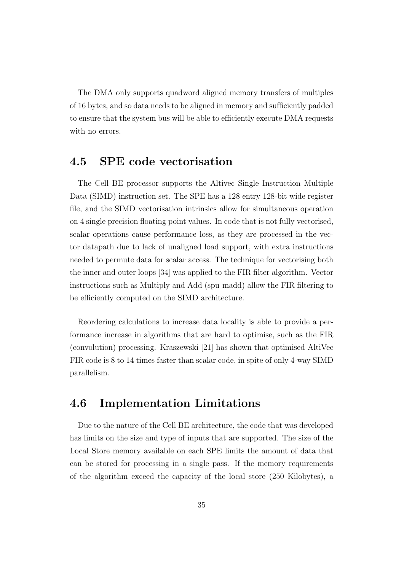The DMA only supports quadword aligned memory transfers of multiples of 16 bytes, and so data needs to be aligned in memory and sufficiently padded to ensure that the system bus will be able to efficiently execute DMA requests with no errors.

## 4.5 SPE code vectorisation

The Cell BE processor supports the Altivec Single Instruction Multiple Data (SIMD) instruction set. The SPE has a 128 entry 128-bit wide register file, and the SIMD vectorisation intrinsics allow for simultaneous operation on 4 single precision floating point values. In code that is not fully vectorised, scalar operations cause performance loss, as they are processed in the vector datapath due to lack of unaligned load support, with extra instructions needed to permute data for scalar access. The technique for vectorising both the inner and outer loops [34] was applied to the FIR filter algorithm. Vector instructions such as Multiply and Add (spu madd) allow the FIR filtering to be efficiently computed on the SIMD architecture.

Reordering calculations to increase data locality is able to provide a performance increase in algorithms that are hard to optimise, such as the FIR (convolution) processing. Kraszewski [21] has shown that optimised AltiVec FIR code is 8 to 14 times faster than scalar code, in spite of only 4-way SIMD parallelism.

### 4.6 Implementation Limitations

Due to the nature of the Cell BE architecture, the code that was developed has limits on the size and type of inputs that are supported. The size of the Local Store memory available on each SPE limits the amount of data that can be stored for processing in a single pass. If the memory requirements of the algorithm exceed the capacity of the local store (250 Kilobytes), a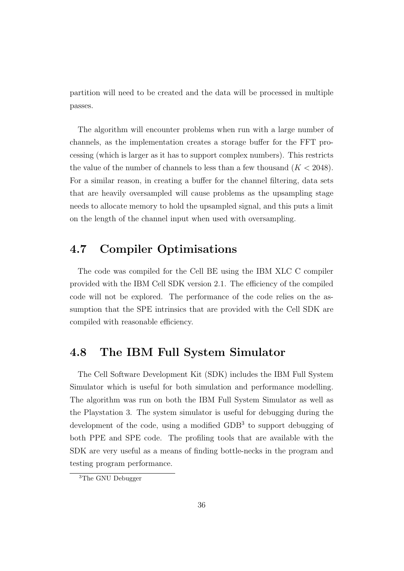partition will need to be created and the data will be processed in multiple passes.

The algorithm will encounter problems when run with a large number of channels, as the implementation creates a storage buffer for the FFT processing (which is larger as it has to support complex numbers). This restricts the value of the number of channels to less than a few thousand  $(K < 2048)$ . For a similar reason, in creating a buffer for the channel filtering, data sets that are heavily oversampled will cause problems as the upsampling stage needs to allocate memory to hold the upsampled signal, and this puts a limit on the length of the channel input when used with oversampling.

## 4.7 Compiler Optimisations

The code was compiled for the Cell BE using the IBM XLC C compiler provided with the IBM Cell SDK version 2.1. The efficiency of the compiled code will not be explored. The performance of the code relies on the assumption that the SPE intrinsics that are provided with the Cell SDK are compiled with reasonable efficiency.

### 4.8 The IBM Full System Simulator

The Cell Software Development Kit (SDK) includes the IBM Full System Simulator which is useful for both simulation and performance modelling. The algorithm was run on both the IBM Full System Simulator as well as the Playstation 3. The system simulator is useful for debugging during the development of the code, using a modified GDB<sup>3</sup> to support debugging of both PPE and SPE code. The profiling tools that are available with the SDK are very useful as a means of finding bottle-necks in the program and testing program performance.

<sup>3</sup>The GNU Debugger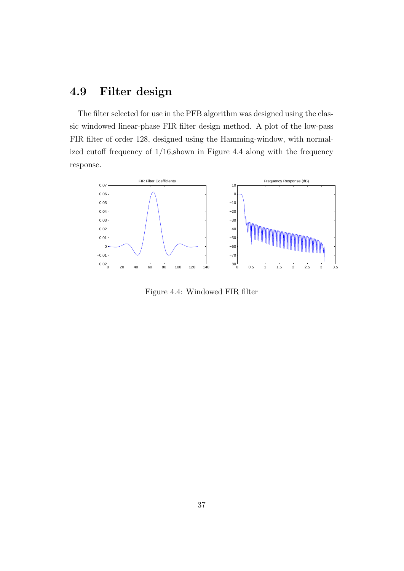## 4.9 Filter design

The filter selected for use in the PFB algorithm was designed using the classic windowed linear-phase FIR filter design method. A plot of the low-pass FIR filter of order 128, designed using the Hamming-window, with normalized cutoff frequency of  $1/16$ , shown in Figure 4.4 along with the frequency response.



Figure 4.4: Windowed FIR filter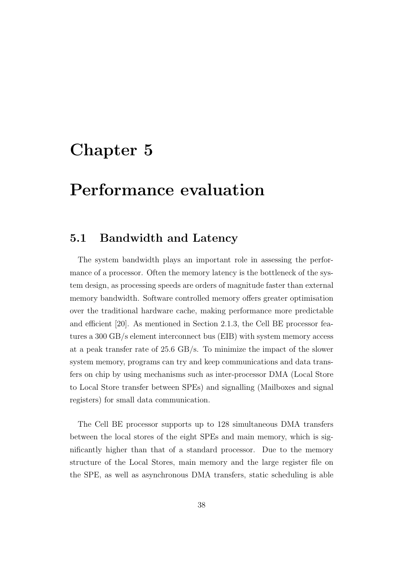## Chapter 5

## Performance evaluation

### 5.1 Bandwidth and Latency

The system bandwidth plays an important role in assessing the performance of a processor. Often the memory latency is the bottleneck of the system design, as processing speeds are orders of magnitude faster than external memory bandwidth. Software controlled memory offers greater optimisation over the traditional hardware cache, making performance more predictable and efficient [20]. As mentioned in Section 2.1.3, the Cell BE processor features a 300 GB/s element interconnect bus (EIB) with system memory access at a peak transfer rate of 25.6 GB/s. To minimize the impact of the slower system memory, programs can try and keep communications and data transfers on chip by using mechanisms such as inter-processor DMA (Local Store to Local Store transfer between SPEs) and signalling (Mailboxes and signal registers) for small data communication.

The Cell BE processor supports up to 128 simultaneous DMA transfers between the local stores of the eight SPEs and main memory, which is significantly higher than that of a standard processor. Due to the memory structure of the Local Stores, main memory and the large register file on the SPE, as well as asynchronous DMA transfers, static scheduling is able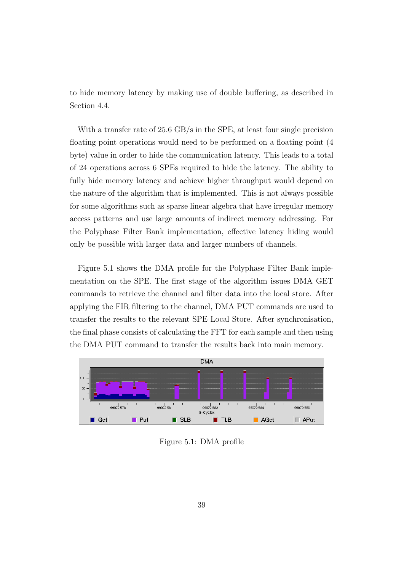to hide memory latency by making use of double buffering, as described in Section 4.4.

With a transfer rate of 25.6 GB/s in the SPE, at least four single precision floating point operations would need to be performed on a floating point (4 byte) value in order to hide the communication latency. This leads to a total of 24 operations across 6 SPEs required to hide the latency. The ability to fully hide memory latency and achieve higher throughput would depend on the nature of the algorithm that is implemented. This is not always possible for some algorithms such as sparse linear algebra that have irregular memory access patterns and use large amounts of indirect memory addressing. For the Polyphase Filter Bank implementation, effective latency hiding would only be possible with larger data and larger numbers of channels.

Figure 5.1 shows the DMA profile for the Polyphase Filter Bank implementation on the SPE. The first stage of the algorithm issues DMA GET commands to retrieve the channel and filter data into the local store. After applying the FIR filtering to the channel, DMA PUT commands are used to transfer the results to the relevant SPE Local Store. After synchronisation, the final phase consists of calculating the FFT for each sample and then using the DMA PUT command to transfer the results back into main memory.



Figure 5.1: DMA profile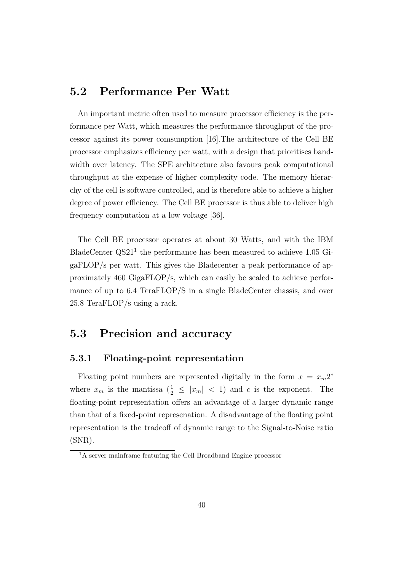## 5.2 Performance Per Watt

An important metric often used to measure processor efficiency is the performance per Watt, which measures the performance throughput of the processor against its power comsumption [16].The architecture of the Cell BE processor emphasizes efficiency per watt, with a design that prioritises bandwidth over latency. The SPE architecture also favours peak computational throughput at the expense of higher complexity code. The memory hierarchy of the cell is software controlled, and is therefore able to achieve a higher degree of power efficiency. The Cell BE processor is thus able to deliver high frequency computation at a low voltage [36].

The Cell BE processor operates at about 30 Watts, and with the IBM BladeCenter  $\text{QS}21^1$  the performance has been measured to achieve 1.05 GigaFLOP/s per watt. This gives the Bladecenter a peak performance of approximately 460 GigaFLOP/s, which can easily be scaled to achieve performance of up to 6.4 TeraFLOP/S in a single BladeCenter chassis, and over 25.8 TeraFLOP/s using a rack.

### 5.3 Precision and accuracy

#### 5.3.1 Floating-point representation

Floating point numbers are represented digitally in the form  $x = x_m 2^c$ where  $x_m$  is the mantissa  $\left(\frac{1}{2} \leq |x_m| < 1\right)$  and c is the exponent. The floating-point representation offers an advantage of a larger dynamic range than that of a fixed-point represenation. A disadvantage of the floating point representation is the tradeoff of dynamic range to the Signal-to-Noise ratio (SNR).

<sup>&</sup>lt;sup>1</sup>A server mainframe featuring the Cell Broadband Engine processor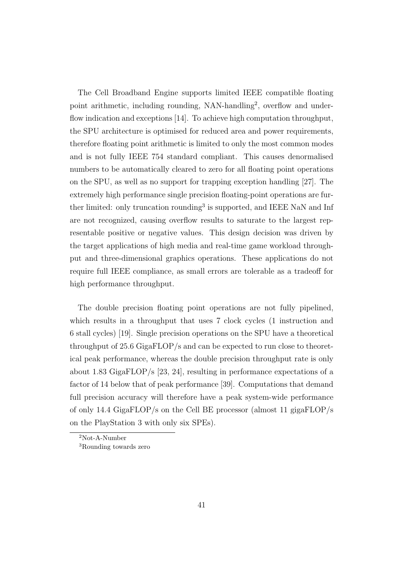The Cell Broadband Engine supports limited IEEE compatible floating point arithmetic, including rounding, NAN-handling<sup>2</sup>, overflow and underflow indication and exceptions [14]. To achieve high computation throughput, the SPU architecture is optimised for reduced area and power requirements, therefore floating point arithmetic is limited to only the most common modes and is not fully IEEE 754 standard compliant. This causes denormalised numbers to be automatically cleared to zero for all floating point operations on the SPU, as well as no support for trapping exception handling [27]. The extremely high performance single precision floating-point operations are further limited: only truncation rounding<sup>3</sup> is supported, and IEEE NaN and Inf are not recognized, causing overflow results to saturate to the largest representable positive or negative values. This design decision was driven by the target applications of high media and real-time game workload throughput and three-dimensional graphics operations. These applications do not require full IEEE compliance, as small errors are tolerable as a tradeoff for high performance throughput.

The double precision floating point operations are not fully pipelined, which results in a throughput that uses 7 clock cycles (1 instruction and 6 stall cycles) [19]. Single precision operations on the SPU have a theoretical throughput of 25.6 GigaFLOP/s and can be expected to run close to theoretical peak performance, whereas the double precision throughput rate is only about 1.83 GigaFLOP/s [23, 24], resulting in performance expectations of a factor of 14 below that of peak performance [39]. Computations that demand full precision accuracy will therefore have a peak system-wide performance of only 14.4 GigaFLOP/s on the Cell BE processor (almost 11 gigaFLOP/s on the PlayStation 3 with only six SPEs).

<sup>2</sup>Not-A-Number

<sup>3</sup>Rounding towards zero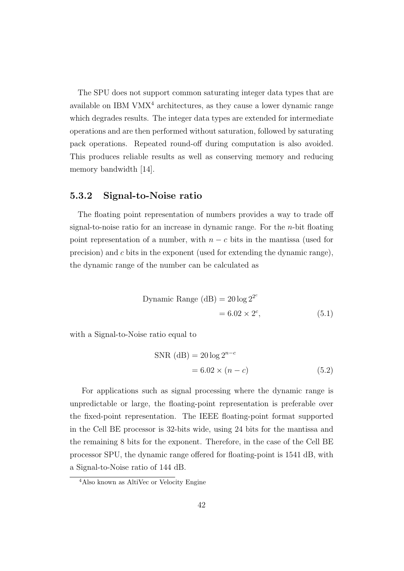The SPU does not support common saturating integer data types that are available on IBM  $VMX<sup>4</sup>$  architectures, as they cause a lower dynamic range which degrades results. The integer data types are extended for intermediate operations and are then performed without saturation, followed by saturating pack operations. Repeated round-off during computation is also avoided. This produces reliable results as well as conserving memory and reducing memory bandwidth [14].

#### 5.3.2 Signal-to-Noise ratio

The floating point representation of numbers provides a way to trade off signal-to-noise ratio for an increase in dynamic range. For the n-bit floating point representation of a number, with  $n - c$  bits in the mantissa (used for precision) and c bits in the exponent (used for extending the dynamic range), the dynamic range of the number can be calculated as

Dynamic Range (dB) = 
$$
20 \log 2^{2^c}
$$
  
=  $6.02 \times 2^c$ , (5.1)

with a Signal-to-Noise ratio equal to

$$
SNR (dB) = 20 \log 2^{n-c}
$$

$$
= 6.02 \times (n-c)
$$
 (5.2)

For applications such as signal processing where the dynamic range is unpredictable or large, the floating-point representation is preferable over the fixed-point representation. The IEEE floating-point format supported in the Cell BE processor is 32-bits wide, using 24 bits for the mantissa and the remaining 8 bits for the exponent. Therefore, in the case of the Cell BE processor SPU, the dynamic range offered for floating-point is 1541 dB, with a Signal-to-Noise ratio of 144 dB.

<sup>4</sup>Also known as AltiVec or Velocity Engine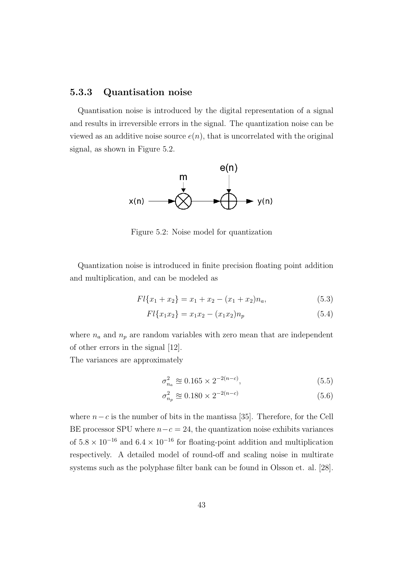#### 5.3.3 Quantisation noise

Quantisation noise is introduced by the digital representation of a signal and results in irreversible errors in the signal. The quantization noise can be viewed as an additive noise source  $e(n)$ , that is uncorrelated with the original signal, as shown in Figure 5.2.



Figure 5.2: Noise model for quantization

Quantization noise is introduced in finite precision floating point addition and multiplication, and can be modeled as

$$
Fl{x_1 + x_2} = x_1 + x_2 - (x_1 + x_2)n_a,
$$
\n(5.3)

$$
Fl{x_1x_2} = x_1x_2 - (x_1x_2)n_p
$$
\n(5.4)

where  $n_a$  and  $n_p$  are random variables with zero mean that are independent of other errors in the signal [12].

The variances are approximately

$$
\sigma_{n_a}^2 \approx 0.165 \times 2^{-2(n-c)},\tag{5.5}
$$

$$
\sigma_{n_p}^2 \approx 0.180 \times 2^{-2(n-c)} \tag{5.6}
$$

where  $n-c$  is the number of bits in the mantissa [35]. Therefore, for the Cell BE processor SPU where  $n-c = 24$ , the quantization noise exhibits variances of  $5.8 \times 10^{-16}$  and  $6.4 \times 10^{-16}$  for floating-point addition and multiplication respectively. A detailed model of round-off and scaling noise in multirate systems such as the polyphase filter bank can be found in Olsson et. al. [28].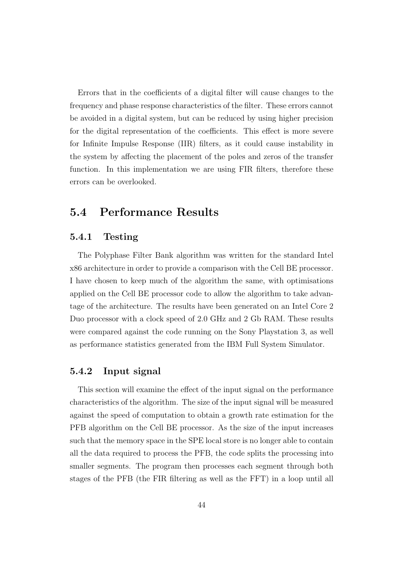Errors that in the coefficients of a digital filter will cause changes to the frequency and phase response characteristics of the filter. These errors cannot be avoided in a digital system, but can be reduced by using higher precision for the digital representation of the coefficients. This effect is more severe for Infinite Impulse Response (IIR) filters, as it could cause instability in the system by affecting the placement of the poles and zeros of the transfer function. In this implementation we are using FIR filters, therefore these errors can be overlooked.

## 5.4 Performance Results

#### 5.4.1 Testing

The Polyphase Filter Bank algorithm was written for the standard Intel x86 architecture in order to provide a comparison with the Cell BE processor. I have chosen to keep much of the algorithm the same, with optimisations applied on the Cell BE processor code to allow the algorithm to take advantage of the architecture. The results have been generated on an Intel Core 2 Duo processor with a clock speed of 2.0 GHz and 2 Gb RAM. These results were compared against the code running on the Sony Playstation 3, as well as performance statistics generated from the IBM Full System Simulator.

#### 5.4.2 Input signal

This section will examine the effect of the input signal on the performance characteristics of the algorithm. The size of the input signal will be measured against the speed of computation to obtain a growth rate estimation for the PFB algorithm on the Cell BE processor. As the size of the input increases such that the memory space in the SPE local store is no longer able to contain all the data required to process the PFB, the code splits the processing into smaller segments. The program then processes each segment through both stages of the PFB (the FIR filtering as well as the FFT) in a loop until all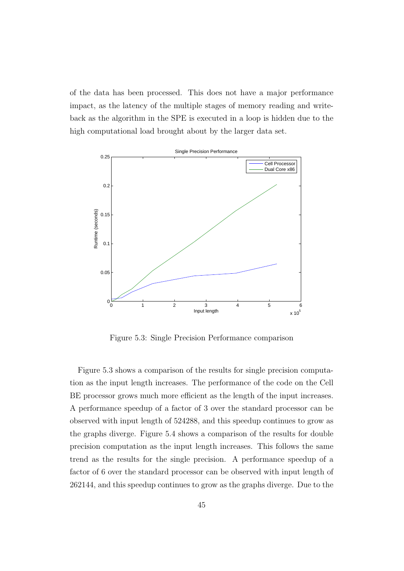of the data has been processed. This does not have a major performance impact, as the latency of the multiple stages of memory reading and writeback as the algorithm in the SPE is executed in a loop is hidden due to the high computational load brought about by the larger data set.



Figure 5.3: Single Precision Performance comparison

Figure 5.3 shows a comparison of the results for single precision computation as the input length increases. The performance of the code on the Cell BE processor grows much more efficient as the length of the input increases. A performance speedup of a factor of 3 over the standard processor can be observed with input length of 524288, and this speedup continues to grow as the graphs diverge. Figure 5.4 shows a comparison of the results for double precision computation as the input length increases. This follows the same trend as the results for the single precision. A performance speedup of a factor of 6 over the standard processor can be observed with input length of 262144, and this speedup continues to grow as the graphs diverge. Due to the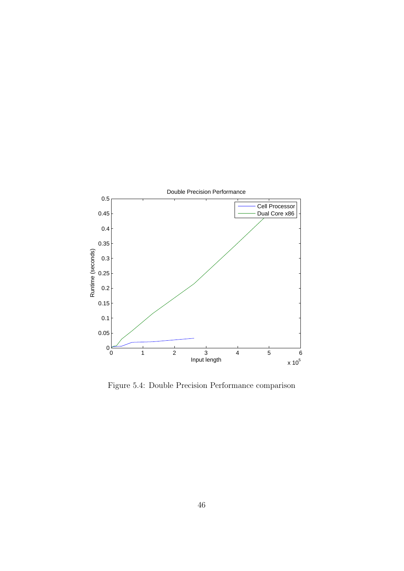

Figure 5.4: Double Precision Performance comparison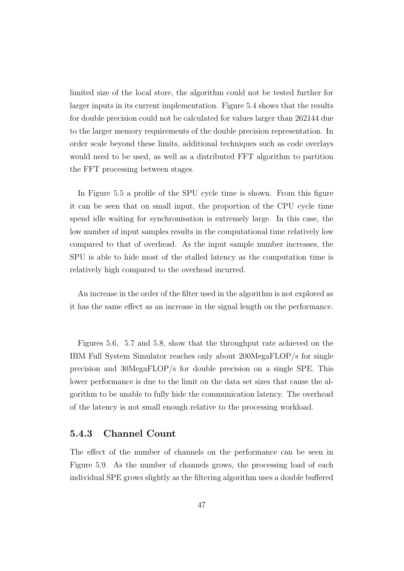limited size of the local store, the algorithm could not be tested further for larger inputs in its current implementation. Figure 5.4 shows that the results for double precision could not be calculated for values larger than 262144 due to the larger memory requirements of the double precision representation. In order scale beyond these limits, additional techniques such as code overlays would need to be used, as well as a distributed FFT algorithm to partition the FFT processing between stages.

In Figure 5.5 a profile of the SPU cycle time is shown. From this figure it can be seen that on small input, the proportion of the CPU cycle time spend idle waiting for synchronisation is extremely large. In this case, the low number of input samples results in the computational time relatively low compared to that of overhead. As the input sample number increases, the SPU is able to hide most of the stalled latency as the computation time is relatively high compared to the overhead incurred.

An increase in the order of the filter used in the algorithm is not explored as it has the same effect as an increase in the signal length on the performance.

Figures 5.6, 5.7 and 5.8, show that the throughput rate achieved on the IBM Full System Simulator reaches only about 200MegaFLOP/s for single precision and 30MegaFLOP/s for double precision on a single SPE. This lower performance is due to the limit on the data set sizes that cause the algorithm to be unable to fully hide the communication latency. The overhead of the latency is not small enough relative to the processing workload.

#### 5.4.3 Channel Count

The effect of the number of channels on the performance can be seen in Figure 5.9. As the number of channels grows, the processing load of each individual SPE grows slightly as the filtering algorithm uses a double buffered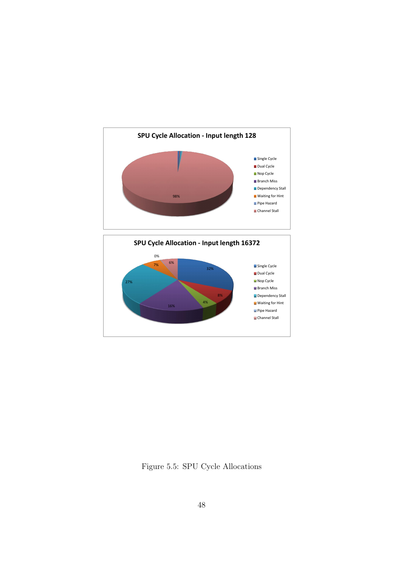

Figure 5.5: SPU Cycle Allocations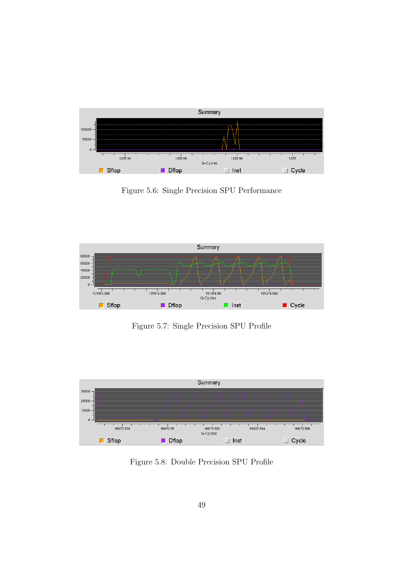

Figure 5.6: Single Precision SPU Performance



Figure 5.7: Single Precision SPU Profile



Figure 5.8: Double Precision SPU Profile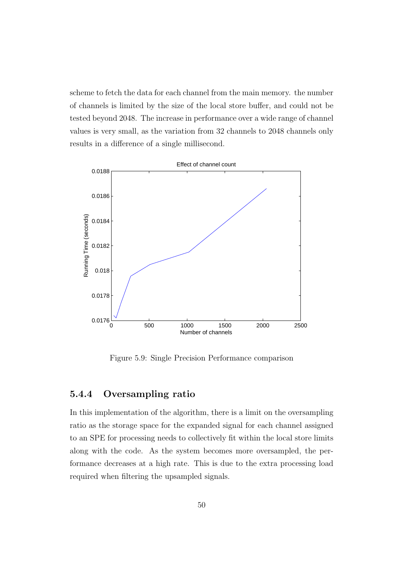scheme to fetch the data for each channel from the main memory. the number of channels is limited by the size of the local store buffer, and could not be tested beyond 2048. The increase in performance over a wide range of channel values is very small, as the variation from 32 channels to 2048 channels only results in a difference of a single millisecond.



Figure 5.9: Single Precision Performance comparison

#### 5.4.4 Oversampling ratio

In this implementation of the algorithm, there is a limit on the oversampling ratio as the storage space for the expanded signal for each channel assigned to an SPE for processing needs to collectively fit within the local store limits along with the code. As the system becomes more oversampled, the performance decreases at a high rate. This is due to the extra processing load required when filtering the upsampled signals.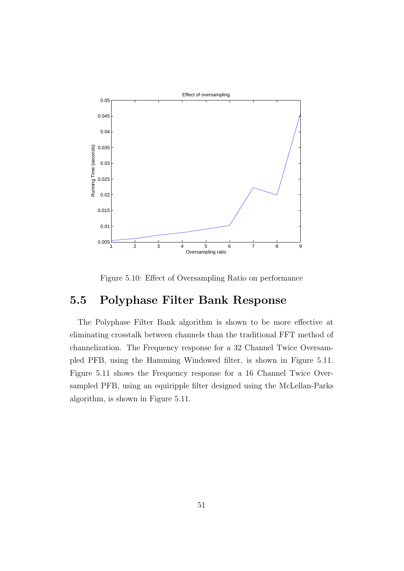

Figure 5.10: Effect of Oversampling Ratio on performance

## 5.5 Polyphase Filter Bank Response

The Polyphase Filter Bank algorithm is shown to be more effective at eliminating crosstalk between channels than the traditional FFT method of channelization. The Frequency response for a 32 Channel Twice Oversampled PFB, using the Hamming Windowed filter, is shown in Figure 5.11. Figure 5.11 shows the Frequency response for a 16 Channel Twice Oversampled PFB, using an equiripple filter designed using the McLellan-Parks algorithm, is shown in Figure 5.11.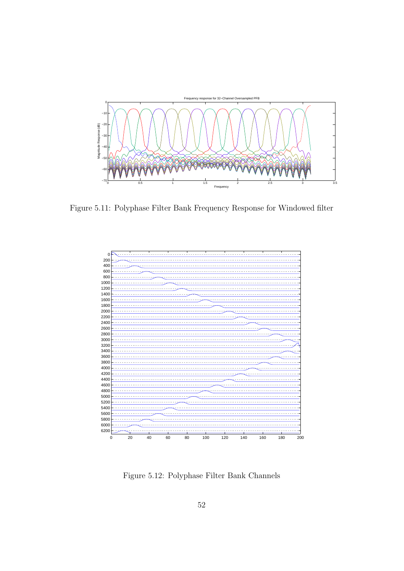

Figure 5.11: Polyphase Filter Bank Frequency Response for Windowed filter



Figure 5.12: Polyphase Filter Bank Channels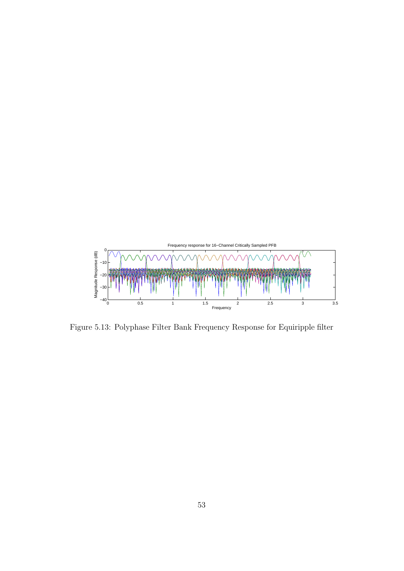

Figure 5.13: Polyphase Filter Bank Frequency Response for Equiripple filter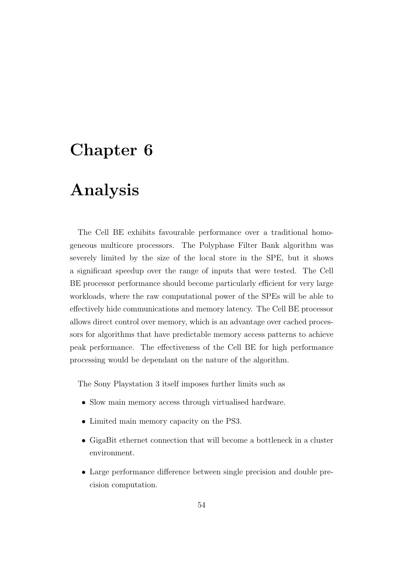## Chapter 6

## Analysis

The Cell BE exhibits favourable performance over a traditional homogeneous multicore processors. The Polyphase Filter Bank algorithm was severely limited by the size of the local store in the SPE, but it shows a significant speedup over the range of inputs that were tested. The Cell BE processor performance should become particularly efficient for very large workloads, where the raw computational power of the SPEs will be able to effectively hide communications and memory latency. The Cell BE processor allows direct control over memory, which is an advantage over cached processors for algorithms that have predictable memory access patterns to achieve peak performance. The effectiveness of the Cell BE for high performance processing would be dependant on the nature of the algorithm.

The Sony Playstation 3 itself imposes further limits such as

- Slow main memory access through virtualised hardware.
- Limited main memory capacity on the PS3.
- GigaBit ethernet connection that will become a bottleneck in a cluster environment.
- Large performance difference between single precision and double precision computation.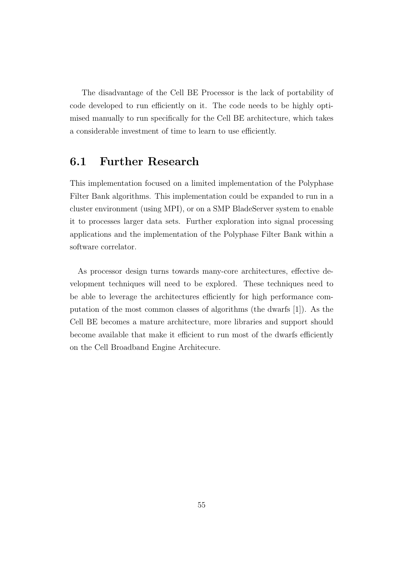The disadvantage of the Cell BE Processor is the lack of portability of code developed to run efficiently on it. The code needs to be highly optimised manually to run specifically for the Cell BE architecture, which takes a considerable investment of time to learn to use efficiently.

## 6.1 Further Research

This implementation focused on a limited implementation of the Polyphase Filter Bank algorithms. This implementation could be expanded to run in a cluster environment (using MPI), or on a SMP BladeServer system to enable it to processes larger data sets. Further exploration into signal processing applications and the implementation of the Polyphase Filter Bank within a software correlator.

As processor design turns towards many-core architectures, effective development techniques will need to be explored. These techniques need to be able to leverage the architectures efficiently for high performance computation of the most common classes of algorithms (the dwarfs [1]). As the Cell BE becomes a mature architecture, more libraries and support should become available that make it efficient to run most of the dwarfs efficiently on the Cell Broadband Engine Architecure.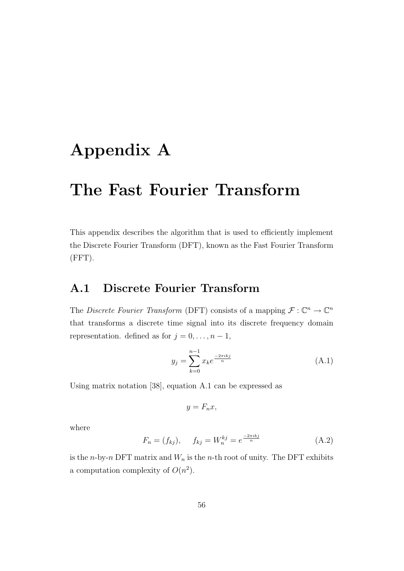## Appendix A

## The Fast Fourier Transform

This appendix describes the algorithm that is used to efficiently implement the Discrete Fourier Transform (DFT), known as the Fast Fourier Transform (FFT).

## A.1 Discrete Fourier Transform

The Discrete Fourier Transform (DFT) consists of a mapping  $\mathcal{F}: \mathbb{C}^n \to \mathbb{C}^n$ that transforms a discrete time signal into its discrete frequency domain representation. defined as for  $j = 0, \ldots, n - 1$ ,

$$
y_j = \sum_{k=0}^{n-1} x_k e^{\frac{-2\pi i k j}{n}}
$$
 (A.1)

Using matrix notation [38], equation A.1 can be expressed as

$$
y = F_n x,
$$

where

$$
F_n = (f_{kj}), \t f_{kj} = W_n^{kj} = e^{\frac{-2\pi i kj}{n}} \t (A.2)
$$

is the *n*-by-*n* DFT matrix and  $W_n$  is the *n*-th root of unity. The DFT exhibits a computation complexity of  $O(n^2)$ .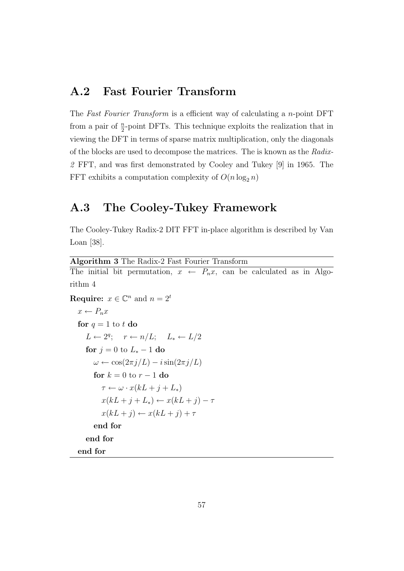### A.2 Fast Fourier Transform

The Fast Fourier Transform is a efficient way of calculating a n-point DFT from a pair of  $\frac{n}{2}$ -point DFTs. This technique exploits the realization that in viewing the DFT in terms of sparse matrix multiplication, only the diagonals of the blocks are used to decompose the matrices. The is known as the Radix-2 FFT, and was first demonstrated by Cooley and Tukey [9] in 1965. The FFT exhibits a computation complexity of  $O(n \log_2 n)$ 

## A.3 The Cooley-Tukey Framework

The Cooley-Tukey Radix-2 DIT FFT in-place algorithm is described by Van Loan [38].

```
Algorithm 3 The Radix-2 Fast Fourier Transform
The initial bit permutation, x \leftarrow P_n x, can be calculated as in Algo-
rithm 4
Require: x \in \mathbb{C}^n and n = 2^tx \leftarrow P_n xfor q = 1 to t do
      L \leftarrow 2^q; r \leftarrow n/L; L_* \leftarrow L/2for j = 0 to L_* - 1 do
        \omega \leftarrow \cos(2\pi j/L) - i\sin(2\pi j/L)for k = 0 to r - 1 do
           \tau \leftarrow \omega \cdot x(kL + j + L_*)x(kL + j + L_*) \leftarrow x(kL + j) - \taux(kL + j) \leftarrow x(kL + j) + \tauend for
     end for
  end for
```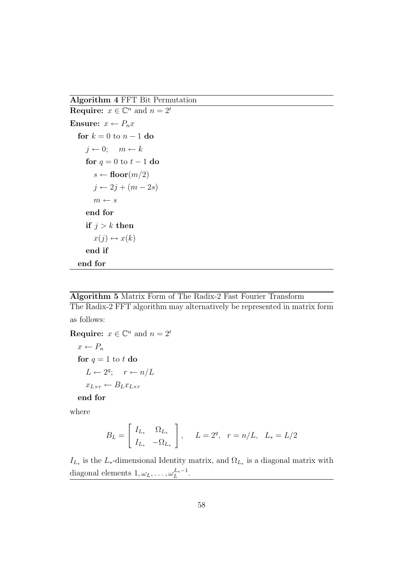Algorithm 4 FFT Bit Permutation

**Require:**  $x \in \mathbb{C}^n$  and  $n = 2^t$ Ensure:  $x \leftarrow P_n x$ for  $k = 0$  to  $n - 1$  do  $j \leftarrow 0; \quad m \leftarrow k$ for  $q = 0$  to  $t - 1$  do  $s \leftarrow \text{floor}(m/2)$  $j \leftarrow 2j + (m - 2s)$  $m \leftarrow s$ end for if  $j > k$  then  $x(j) \leftrightarrow x(k)$ end if end for

#### Algorithm 5 Matrix Form of The Radix-2 Fast Fourier Transform

The Radix-2 FFT algorithm may alternatively be represented in matrix form as follows:

**Require:**  $x \in \mathbb{C}^n$  and  $n = 2^t$  $x \leftarrow P_n$ for  $q = 1$  to t do  $L \leftarrow 2^q$ ;  $r \leftarrow n/L$  $x_{L\times r} \leftarrow B_L x_{L\times r}$ end for

where

$$
B_L = \begin{bmatrix} I_{L*} & \Omega_{L*} \\ I_{L*} & -\Omega_{L*} \end{bmatrix}, \quad L = 2^q, \quad r = n/L, \quad L_* = L/2
$$

 $I_{L_*}$  is the  $L_*$ -dimensional Identity matrix, and  $\Omega_{L_*}$  is a diagonal matrix with diagonal elements  $1, \omega_L, \ldots, \omega_L^{L_*-1}$ .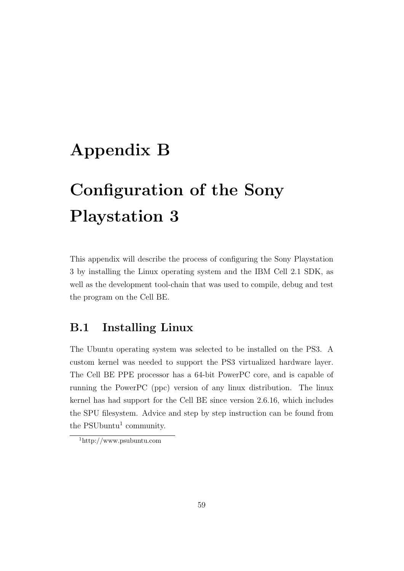## Appendix B

# Configuration of the Sony Playstation 3

This appendix will describe the process of configuring the Sony Playstation 3 by installing the Linux operating system and the IBM Cell 2.1 SDK, as well as the development tool-chain that was used to compile, debug and test the program on the Cell BE.

## B.1 Installing Linux

The Ubuntu operating system was selected to be installed on the PS3. A custom kernel was needed to support the PS3 virtualized hardware layer. The Cell BE PPE processor has a 64-bit PowerPC core, and is capable of running the PowerPC (ppc) version of any linux distribution. The linux kernel has had support for the Cell BE since version 2.6.16, which includes the SPU filesystem. Advice and step by step instruction can be found from the PSUbuntu<sup>1</sup> community.

<sup>1</sup>http://www.psubuntu.com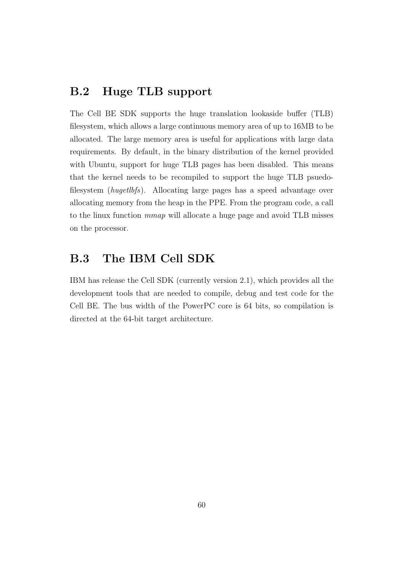## B.2 Huge TLB support

The Cell BE SDK supports the huge translation lookaside buffer (TLB) filesystem, which allows a large continuous memory area of up to 16MB to be allocated. The large memory area is useful for applications with large data requirements. By default, in the binary distribution of the kernel provided with Ubuntu, support for huge TLB pages has been disabled. This means that the kernel needs to be recompiled to support the huge TLB psuedofilesystem (hugetlbfs). Allocating large pages has a speed advantage over allocating memory from the heap in the PPE. From the program code, a call to the linux function mmap will allocate a huge page and avoid TLB misses on the processor.

## B.3 The IBM Cell SDK

IBM has release the Cell SDK (currently version 2.1), which provides all the development tools that are needed to compile, debug and test code for the Cell BE. The bus width of the PowerPC core is 64 bits, so compilation is directed at the 64-bit target architecture.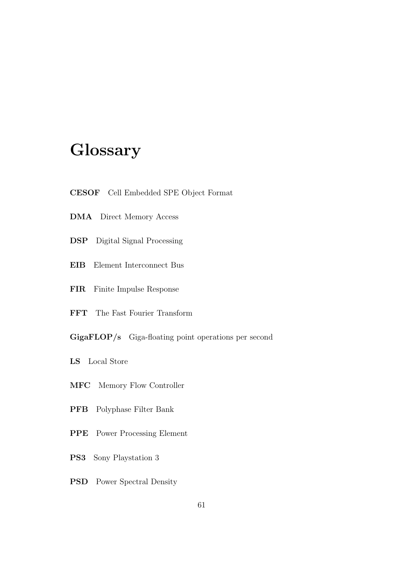## Glossary

- CESOF Cell Embedded SPE Object Format
- DMA Direct Memory Access
- DSP Digital Signal Processing
- EIB Element Interconnect Bus
- FIR Finite Impulse Response
- FFT The Fast Fourier Transform
- GigaFLOP/s Giga-floating point operations per second
- LS Local Store
- MFC Memory Flow Controller
- PFB Polyphase Filter Bank
- PPE Power Processing Element
- PS3 Sony Playstation 3
- PSD Power Spectral Density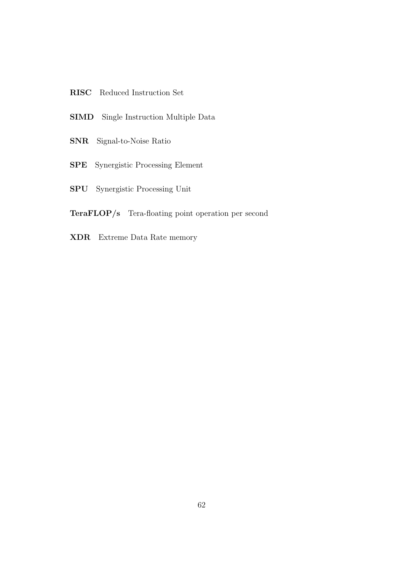- RISC Reduced Instruction Set
- SIMD Single Instruction Multiple Data
- SNR Signal-to-Noise Ratio
- SPE Synergistic Processing Element
- SPU Synergistic Processing Unit
- TeraFLOP/s Tera-floating point operation per second
- XDR Extreme Data Rate memory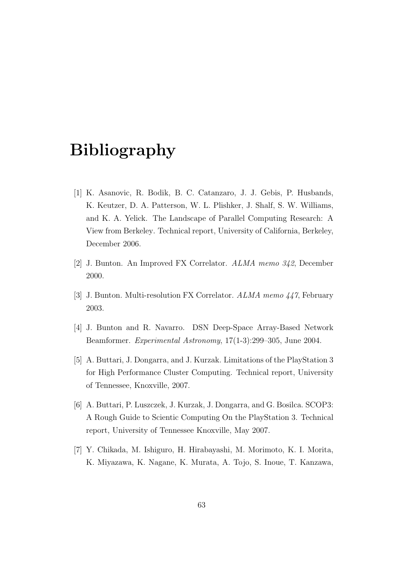## Bibliography

- [1] K. Asanovic, R. Bodik, B. C. Catanzaro, J. J. Gebis, P. Husbands, K. Keutzer, D. A. Patterson, W. L. Plishker, J. Shalf, S. W. Williams, and K. A. Yelick. The Landscape of Parallel Computing Research: A View from Berkeley. Technical report, University of California, Berkeley, December 2006.
- [2] J. Bunton. An Improved FX Correlator. ALMA memo 342, December 2000.
- [3] J. Bunton. Multi-resolution FX Correlator. ALMA memo 447, February 2003.
- [4] J. Bunton and R. Navarro. DSN Deep-Space Array-Based Network Beamformer. Experimental Astronomy, 17(1-3):299–305, June 2004.
- [5] A. Buttari, J. Dongarra, and J. Kurzak. Limitations of the PlayStation 3 for High Performance Cluster Computing. Technical report, University of Tennessee, Knoxville, 2007.
- [6] A. Buttari, P. Luszczek, J. Kurzak, J. Dongarra, and G. Bosilca. SCOP3: A Rough Guide to Scientic Computing On the PlayStation 3. Technical report, University of Tennessee Knoxville, May 2007.
- [7] Y. Chikada, M. Ishiguro, H. Hirabayashi, M. Morimoto, K. I. Morita, K. Miyazawa, K. Nagane, K. Murata, A. Tojo, S. Inoue, T. Kanzawa,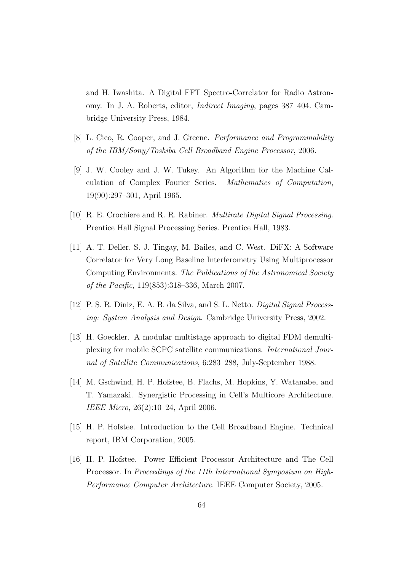and H. Iwashita. A Digital FFT Spectro-Correlator for Radio Astronomy. In J. A. Roberts, editor, Indirect Imaging, pages 387–404. Cambridge University Press, 1984.

- [8] L. Cico, R. Cooper, and J. Greene. Performance and Programmability of the IBM/Sony/Toshiba Cell Broadband Engine Processor, 2006.
- [9] J. W. Cooley and J. W. Tukey. An Algorithm for the Machine Calculation of Complex Fourier Series. Mathematics of Computation, 19(90):297–301, April 1965.
- [10] R. E. Crochiere and R. R. Rabiner. Multirate Digital Signal Processing. Prentice Hall Signal Processing Series. Prentice Hall, 1983.
- [11] A. T. Deller, S. J. Tingay, M. Bailes, and C. West. DiFX: A Software Correlator for Very Long Baseline Interferometry Using Multiprocessor Computing Environments. The Publications of the Astronomical Society of the Pacific, 119(853):318–336, March 2007.
- [12] P. S. R. Diniz, E. A. B. da Silva, and S. L. Netto. Digital Signal Processing: System Analysis and Design. Cambridge University Press, 2002.
- [13] H. Goeckler. A modular multistage approach to digital FDM demultiplexing for mobile SCPC satellite communications. International Journal of Satellite Communications, 6:283–288, July-September 1988.
- [14] M. Gschwind, H. P. Hofstee, B. Flachs, M. Hopkins, Y. Watanabe, and T. Yamazaki. Synergistic Processing in Cell's Multicore Architecture. IEEE Micro, 26(2):10–24, April 2006.
- [15] H. P. Hofstee. Introduction to the Cell Broadband Engine. Technical report, IBM Corporation, 2005.
- [16] H. P. Hofstee. Power Efficient Processor Architecture and The Cell Processor. In Proceedings of the 11th International Symposium on High-Performance Computer Architecture. IEEE Computer Society, 2005.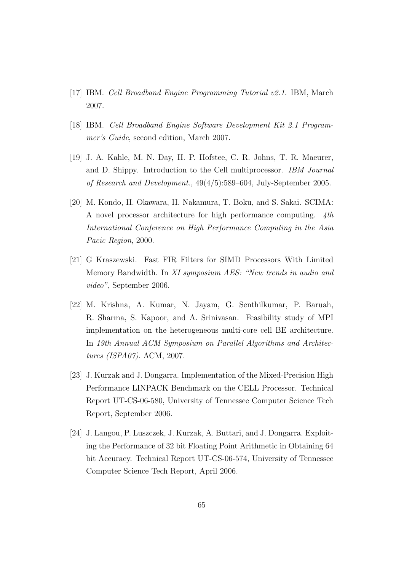- [17] IBM. Cell Broadband Engine Programming Tutorial v2.1. IBM, March 2007.
- [18] IBM. Cell Broadband Engine Software Development Kit 2.1 Programmer's Guide, second edition, March 2007.
- [19] J. A. Kahle, M. N. Day, H. P. Hofstee, C. R. Johns, T. R. Maeurer, and D. Shippy. Introduction to the Cell multiprocessor. IBM Journal of Research and Development., 49(4/5):589–604, July-September 2005.
- [20] M. Kondo, H. Okawara, H. Nakamura, T. Boku, and S. Sakai. SCIMA: A novel processor architecture for high performance computing. 4th International Conference on High Performance Computing in the Asia Pacic Region, 2000.
- [21] G Kraszewski. Fast FIR Filters for SIMD Processors With Limited Memory Bandwidth. In XI symposium AES: "New trends in audio and video", September 2006.
- [22] M. Krishna, A. Kumar, N. Jayam, G. Senthilkumar, P. Baruah, R. Sharma, S. Kapoor, and A. Srinivasan. Feasibility study of MPI implementation on the heterogeneous multi-core cell BE architecture. In 19th Annual ACM Symposium on Parallel Algorithms and Architectures (ISPA07). ACM, 2007.
- [23] J. Kurzak and J. Dongarra. Implementation of the Mixed-Precision High Performance LINPACK Benchmark on the CELL Processor. Technical Report UT-CS-06-580, University of Tennessee Computer Science Tech Report, September 2006.
- [24] J. Langou, P. Luszczek, J. Kurzak, A. Buttari, and J. Dongarra. Exploiting the Performance of 32 bit Floating Point Arithmetic in Obtaining 64 bit Accuracy. Technical Report UT-CS-06-574, University of Tennessee Computer Science Tech Report, April 2006.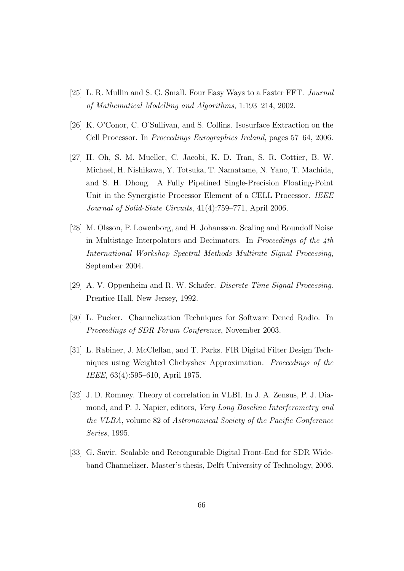- [25] L. R. Mullin and S. G. Small. Four Easy Ways to a Faster FFT. Journal of Mathematical Modelling and Algorithms, 1:193–214, 2002.
- [26] K. O'Conor, C. O'Sullivan, and S. Collins. Isosurface Extraction on the Cell Processor. In Proceedings Eurographics Ireland, pages 57–64, 2006.
- [27] H. Oh, S. M. Mueller, C. Jacobi, K. D. Tran, S. R. Cottier, B. W. Michael, H. Nishikawa, Y. Totsuka, T. Namatame, N. Yano, T. Machida, and S. H. Dhong. A Fully Pipelined Single-Precision Floating-Point Unit in the Synergistic Processor Element of a CELL Processor. IEEE Journal of Solid-State Circuits, 41(4):759–771, April 2006.
- [28] M. Olsson, P. Lowenborg, and H. Johansson. Scaling and Roundoff Noise in Multistage Interpolators and Decimators. In Proceedings of the 4th International Workshop Spectral Methods Multirate Signal Processing, September 2004.
- [29] A. V. Oppenheim and R. W. Schafer. Discrete-Time Signal Processing. Prentice Hall, New Jersey, 1992.
- [30] L. Pucker. Channelization Techniques for Software Dened Radio. In Proceedings of SDR Forum Conference, November 2003.
- [31] L. Rabiner, J. McClellan, and T. Parks. FIR Digital Filter Design Techniques using Weighted Chebyshev Approximation. Proceedings of the IEEE, 63(4):595–610, April 1975.
- [32] J. D. Romney. Theory of correlation in VLBI. In J. A. Zensus, P. J. Diamond, and P. J. Napier, editors, Very Long Baseline Interferometry and the VLBA, volume 82 of Astronomical Society of the Pacific Conference Series, 1995.
- [33] G. Savir. Scalable and Recongurable Digital Front-End for SDR Wideband Channelizer. Master's thesis, Delft University of Technology, 2006.